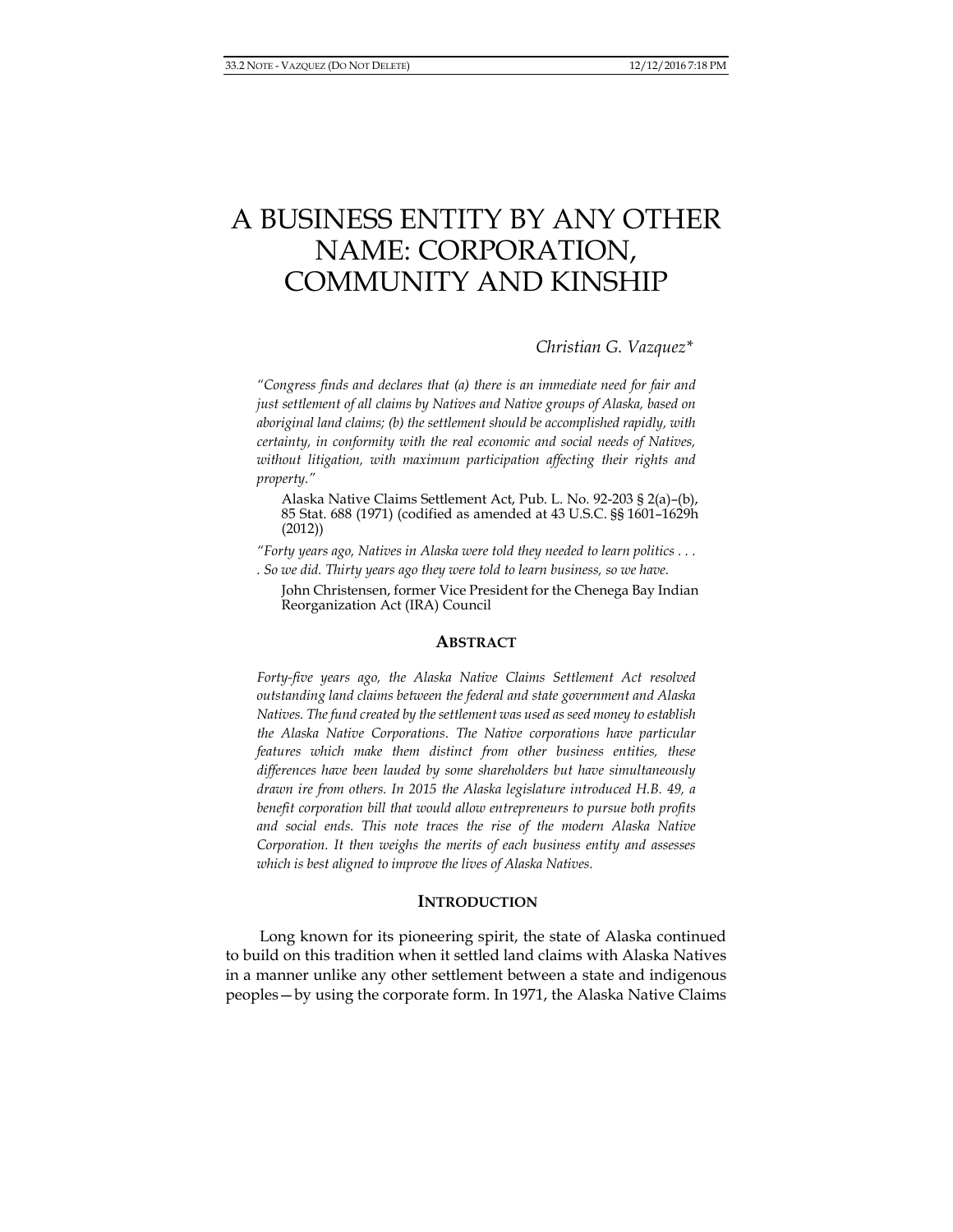# A BUSINESS ENTITY BY ANY OTHER NAME: CORPORATION, COMMUNITY AND KINSHIP

*Christian G. Vazquez\**

*"Congress finds and declares that (a) there is an immediate need for fair and just settlement of all claims by Natives and Native groups of Alaska, based on aboriginal land claims; (b) the settlement should be accomplished rapidly, with certainty, in conformity with the real economic and social needs of Natives, without litigation, with maximum participation affecting their rights and property."*

Alaska Native Claims Settlement Act, Pub. L. No. 92-203 § 2(a)–(b), 85 Stat. 688 (1971) (codified as amended at 43 U.S.C. §§ 1601–1629h (2012))

*"Forty years ago, Natives in Alaska were told they needed to learn politics . . . . So we did. Thirty years ago they were told to learn business, so we have.*

John Christensen, former Vice President for the Chenega Bay Indian Reorganization Act (IRA) Council

## **ABSTRACT**

*Forty-five years ago, the Alaska Native Claims Settlement Act resolved outstanding land claims between the federal and state government and Alaska Natives. The fund created by the settlement was used as seed money to establish the Alaska Native Corporations. The Native corporations have particular features which make them distinct from other business entities, these differences have been lauded by some shareholders but have simultaneously drawn ire from others. In 2015 the Alaska legislature introduced H.B. 49, a benefit corporation bill that would allow entrepreneurs to pursue both profits and social ends. This note traces the rise of the modern Alaska Native Corporation. It then weighs the merits of each business entity and assesses which is best aligned to improve the lives of Alaska Natives.*

### **INTRODUCTION**

Long known for its pioneering spirit, the state of Alaska continued to build on this tradition when it settled land claims with Alaska Natives in a manner unlike any other settlement between a state and indigenous peoples—by using the corporate form. In 1971, the Alaska Native Claims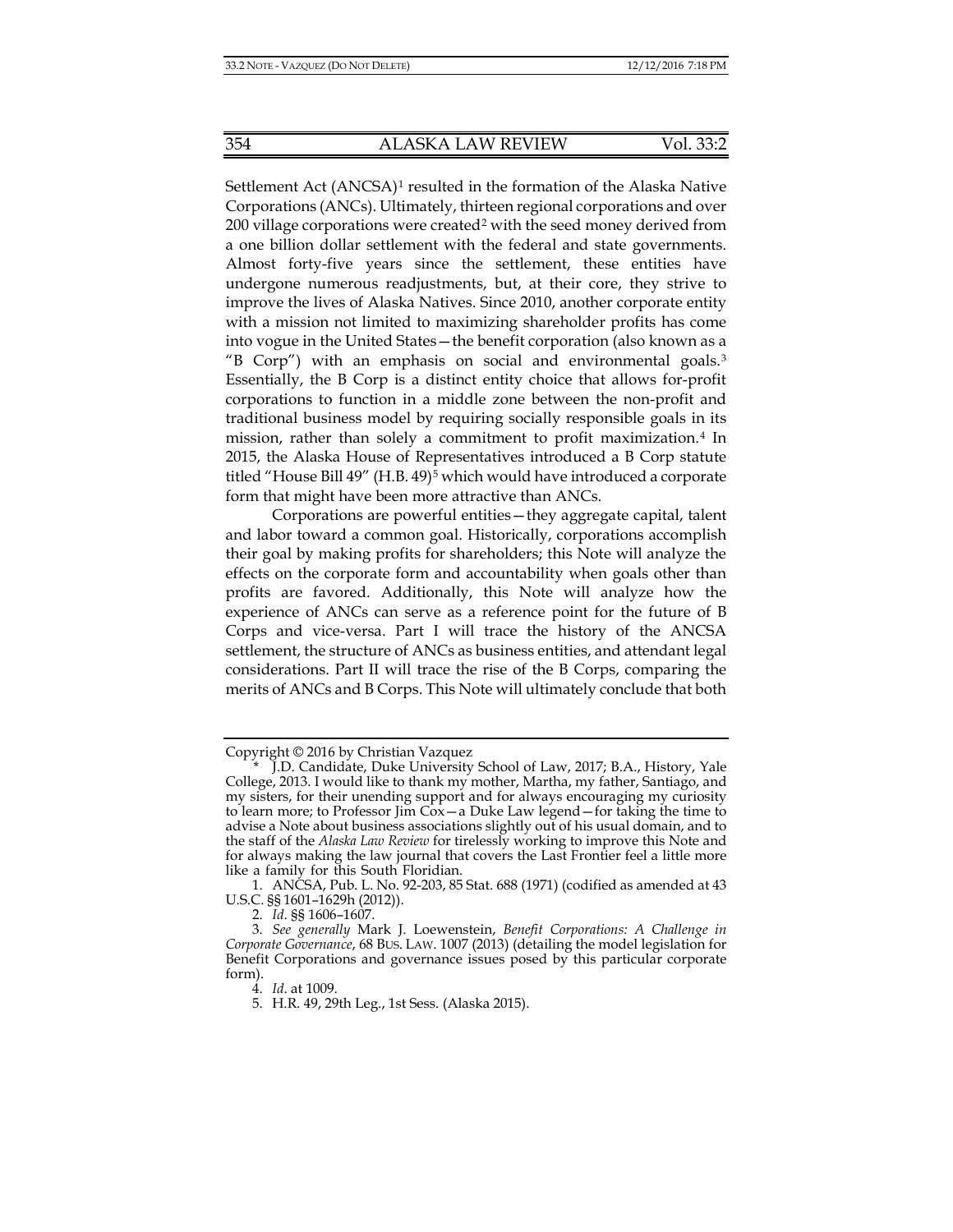Settlement Act (ANCSA)<sup>[1](#page-1-0)</sup> resulted in the formation of the Alaska Native Corporations (ANCs). Ultimately, thirteen regional corporations and over 200 village corporations were created[2](#page-1-1) with the seed money derived from a one billion dollar settlement with the federal and state governments. Almost forty-five years since the settlement, these entities have undergone numerous readjustments, but, at their core, they strive to improve the lives of Alaska Natives. Since 2010, another corporate entity with a mission not limited to maximizing shareholder profits has come into vogue in the United States—the benefit corporation (also known as a "B Corp") with an emphasis on social and environmental goals.[3](#page-1-2)  Essentially, the B Corp is a distinct entity choice that allows for-profit corporations to function in a middle zone between the non-profit and traditional business model by requiring socially responsible goals in its mission, rather than solely a commitment to profit maximization.[4](#page-1-3) In 2015, the Alaska House of Representatives introduced a B Corp statute titled "House Bill 49" (H.B. 49)[5](#page-1-4) which would have introduced a corporate form that might have been more attractive than ANCs.

<span id="page-1-5"></span> Corporations are powerful entities—they aggregate capital, talent and labor toward a common goal. Historically, corporations accomplish their goal by making profits for shareholders; this Note will analyze the effects on the corporate form and accountability when goals other than profits are favored. Additionally, this Note will analyze how the experience of ANCs can serve as a reference point for the future of B Corps and vice-versa. Part I will trace the history of the ANCSA settlement, the structure of ANCs as business entities, and attendant legal considerations. Part II will trace the rise of the B Corps, comparing the merits of ANCs and B Corps. This Note will ultimately conclude that both

Copyright © 2016 by Christian Vazquez

<span id="page-1-0"></span><sup>\*</sup> J.D. Candidate, Duke University School of Law, 2017; B.A., History, Yale College, 2013. I would like to thank my mother, Martha, my father, Santiago, and my sisters, for their unending support and for always encouraging my curiosity to learn more; to Professor Jim  $\tilde{\text{Cox}}$  – a Duke Law legend – for taking the time to advise a Note about business associations slightly out of his usual domain, and to the staff of the *Alaska Law Review* for tirelessly working to improve this Note and for always making the law journal that covers the Last Frontier feel a little more like a family for this South Floridian.

<sup>1.</sup> ANCSA, Pub. L. No. 92-203, 85 Stat. 688 (1971) (codified as amended at 43 U.S.C. §§ 1601–1629h (2012)).

<sup>2.</sup> *Id*. §§ 1606–1607.

<span id="page-1-4"></span><span id="page-1-3"></span><span id="page-1-2"></span><span id="page-1-1"></span><sup>3.</sup> *See generally* Mark J. Loewenstein, *Benefit Corporations: A Challenge in Corporate Governance*, 68 BUS. LAW. 1007 (2013) (detailing the model legislation for Benefit Corporations and governance issues posed by this particular corporate form).

<sup>4.</sup> *Id*. at 1009.

<sup>5.</sup> H.R. 49, 29th Leg., 1st Sess. (Alaska 2015).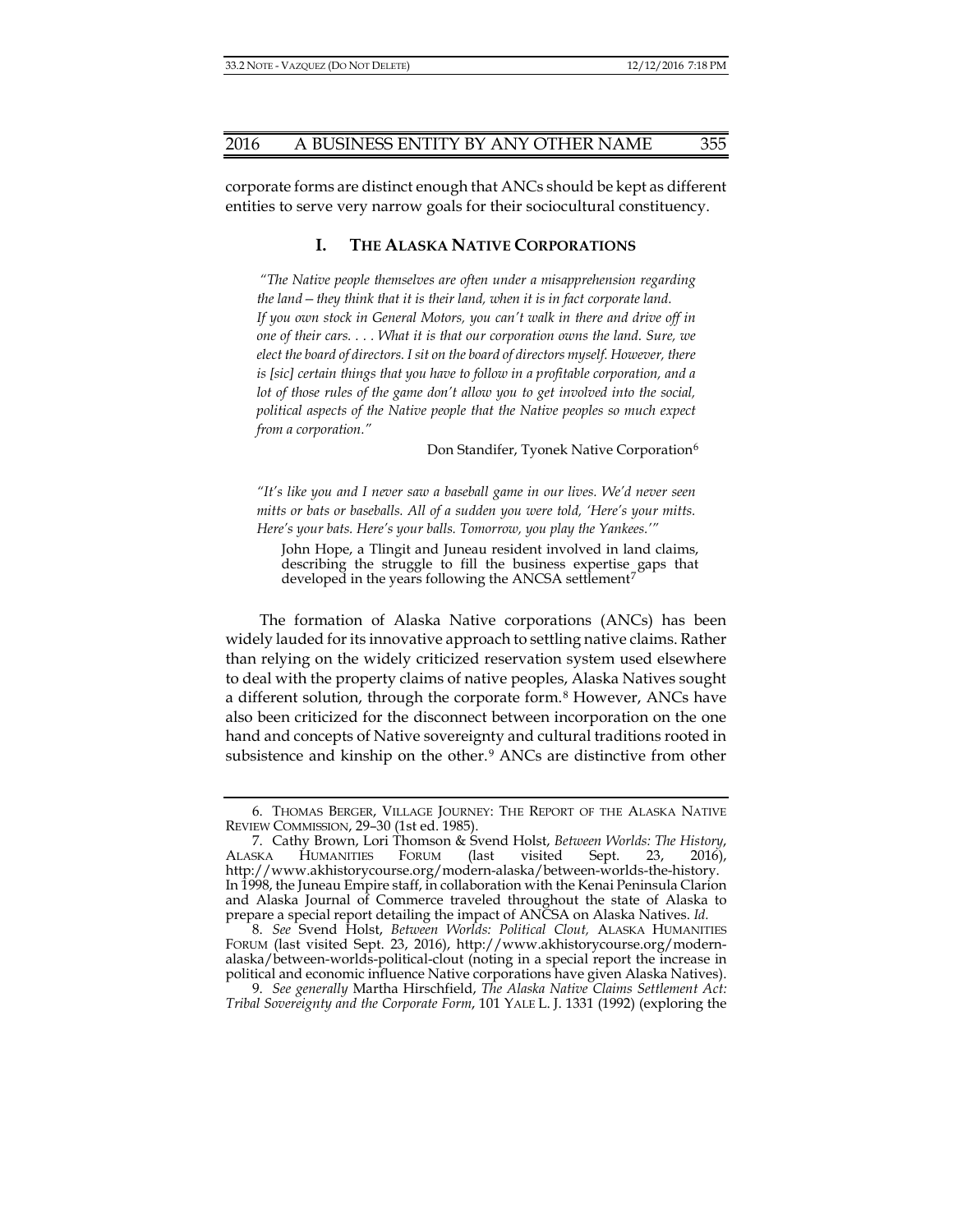corporate forms are distinct enough that ANCs should be kept as different entities to serve very narrow goals for their sociocultural constituency.

# **I. THE ALASKA NATIVE CORPORATIONS**

*"The Native people themselves are often under a misapprehension regarding the land—they think that it is their land, when it is in fact corporate land. If you own stock in General Motors, you can't walk in there and drive off in one of their cars. . . . What it is that our corporation owns the land. Sure, we elect the board of directors. I sit on the board of directors myself. However, there is [sic] certain things that you have to follow in a profitable corporation, and a lot of those rules of the game don't allow you to get involved into the social, political aspects of the Native people that the Native peoples so much expect from a corporation."*

<span id="page-2-4"></span>Don Standifer, Tyonek Native Corporation<sup>[6](#page-2-0)</sup>

*"It's like you and I never saw a baseball game in our lives. We'd never seen mitts or bats or baseballs. All of a sudden you were told, 'Here's your mitts. Here's your bats. Here's your balls. Tomorrow, you play the Yankees.'"*

John Hope, a Tlingit and Juneau resident involved in land claims, describing the struggle to fill the business expertise gaps that developed in the years following the ANCSA settlement<sup>[7](#page-2-1)</sup>

The formation of Alaska Native corporations (ANCs) has been widely lauded for its innovative approach to settling native claims. Rather than relying on the widely criticized reservation system used elsewhere to deal with the property claims of native peoples, Alaska Natives sought a different solution, through the corporate form.[8](#page-2-2) However, ANCs have also been criticized for the disconnect between incorporation on the one hand and concepts of Native sovereignty and cultural traditions rooted in subsistence and kinship on the other.<sup>[9](#page-2-3)</sup> ANCs are distinctive from other

<span id="page-2-0"></span><sup>6.</sup> THOMAS BERGER, VILLAGE JOURNEY: THE REPORT OF THE ALASKA NATIVE REVIEW COMMISSION, 29–30 (1st ed. 1985).

<span id="page-2-1"></span><sup>7.</sup> Cathy Brown, Lori Thomson & Svend Holst, *Between Worlds: The History*, ALASKA HUMANITIES FORUM (last visited Sept. 23, 2016), http://www.akhistorycourse.org/modern-alaska/between-worlds-the-history. In 1998, the Juneau Empire staff, in collaboration with the Kenai Peninsula Clarion and Alaska Journal of Commerce traveled throughout the state of Alaska to prepare a special report detailing the impact of ANCSA on Alaska Natives. *Id.*

<span id="page-2-2"></span><sup>8.</sup> *See* Svend Holst, *Between Worlds: Political Clout,* ALASKA HUMANITIES FORUM (last visited Sept. 23, 2016), http://www.akhistorycourse.org/modernalaska/between-worlds-political-clout (noting in a special report the increase in political and economic influence Native corporations have given Alaska Natives).

<span id="page-2-3"></span><sup>9.</sup> *See generally* Martha Hirschfield, *The Alaska Native Claims Settlement Act: Tribal Sovereignty and the Corporate Form*, 101 YALE L. J. 1331 (1992) (exploring the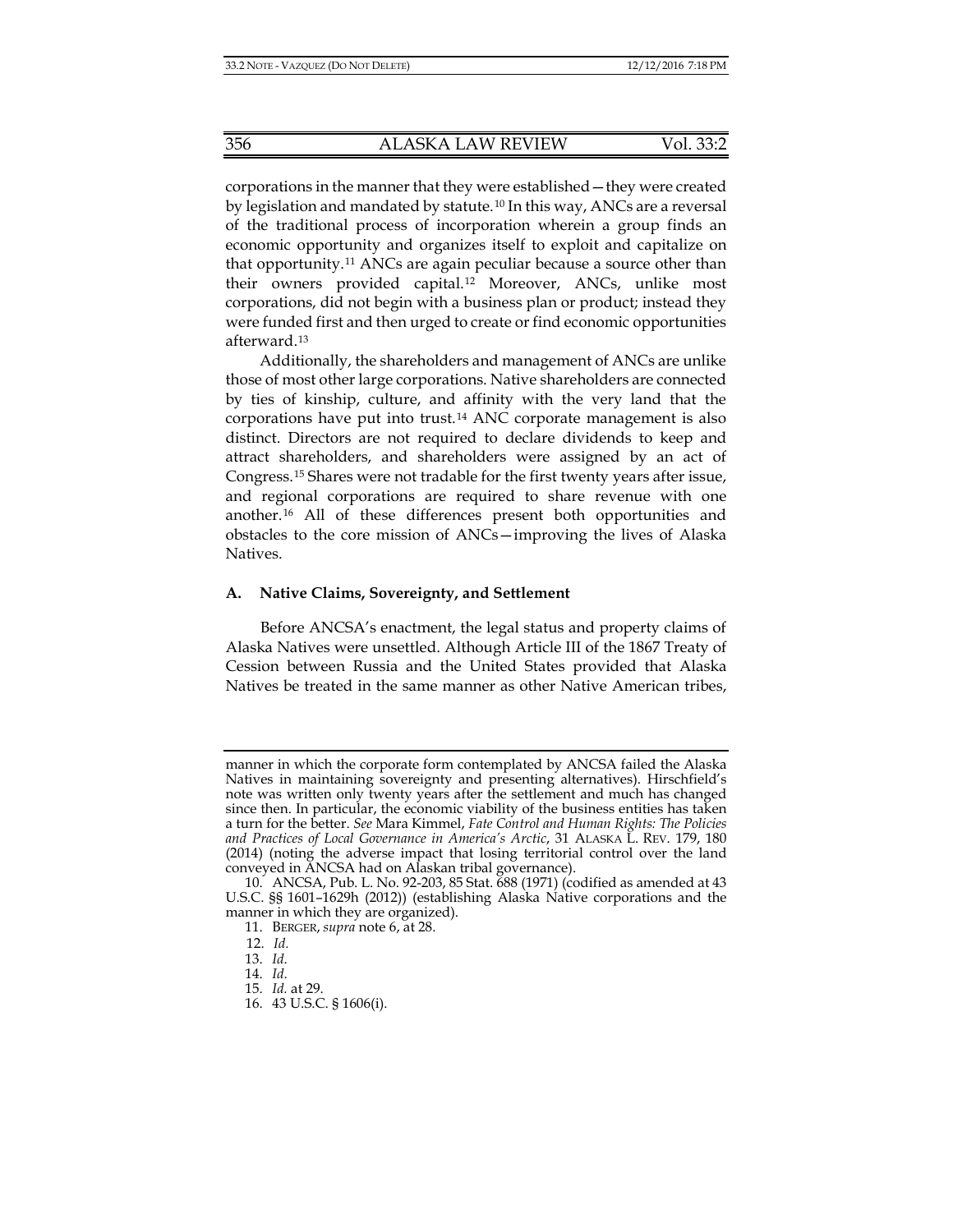corporations in the manner that they were established—they were created by legislation and mandated by statute.[10](#page-3-0) In this way, ANCs are a reversal of the traditional process of incorporation wherein a group finds an economic opportunity and organizes itself to exploit and capitalize on that opportunity.[11](#page-3-1) ANCs are again peculiar because a source other than their owners provided capital.[12](#page-3-2) Moreover, ANCs, unlike most corporations, did not begin with a business plan or product; instead they were funded first and then urged to create or find economic opportunities afterward.[13](#page-3-3)

Additionally, the shareholders and management of ANCs are unlike those of most other large corporations. Native shareholders are connected by ties of kinship, culture, and affinity with the very land that the corporations have put into trust.[14](#page-3-4) ANC corporate management is also distinct. Directors are not required to declare dividends to keep and attract shareholders, and shareholders were assigned by an act of Congress.[15](#page-3-5) Shares were not tradable for the first twenty years after issue, and regional corporations are required to share revenue with one another.[16](#page-3-6) All of these differences present both opportunities and obstacles to the core mission of ANCs—improving the lives of Alaska Natives.

## **A. Native Claims, Sovereignty, and Settlement**

Before ANCSA's enactment, the legal status and property claims of Alaska Natives were unsettled. Although Article III of the 1867 Treaty of Cession between Russia and the United States provided that Alaska Natives be treated in the same manner as other Native American tribes,

manner in which the corporate form contemplated by ANCSA failed the Alaska Natives in maintaining sovereignty and presenting alternatives). Hirschfield's note was written only twenty years after the settlement and much has changed since then. In particular, the economic viability of the business entities has taken a turn for the better. *See* Mara Kimmel, *Fate Control and Human Rights: The Policies and Practices of Local Governance in America's Arctic*, 31 ALASKA L. REV. 179, 180 (2014) (noting the adverse impact that losing territorial control over the land conveyed in ANCSA had on Alaskan tribal governance).

<span id="page-3-4"></span><span id="page-3-3"></span><span id="page-3-2"></span><span id="page-3-1"></span><span id="page-3-0"></span><sup>10.</sup> ANCSA, Pub. L. No. 92-203, 85 Stat. 688 (1971) (codified as amended at 43 U.S.C. §§ 1601–1629h (2012)) (establishing Alaska Native corporations and the manner in which they are organized).

<sup>11.</sup> BERGER, *supra* note [6,](#page-2-4) at 28.

 <sup>12.</sup> *Id.*

<sup>13.</sup> *Id*.

<sup>14.</sup> *Id*.

<span id="page-3-5"></span><sup>15.</sup> *Id.* at 29.

<span id="page-3-6"></span><sup>16.</sup> 43 U.S.C. § 1606(i).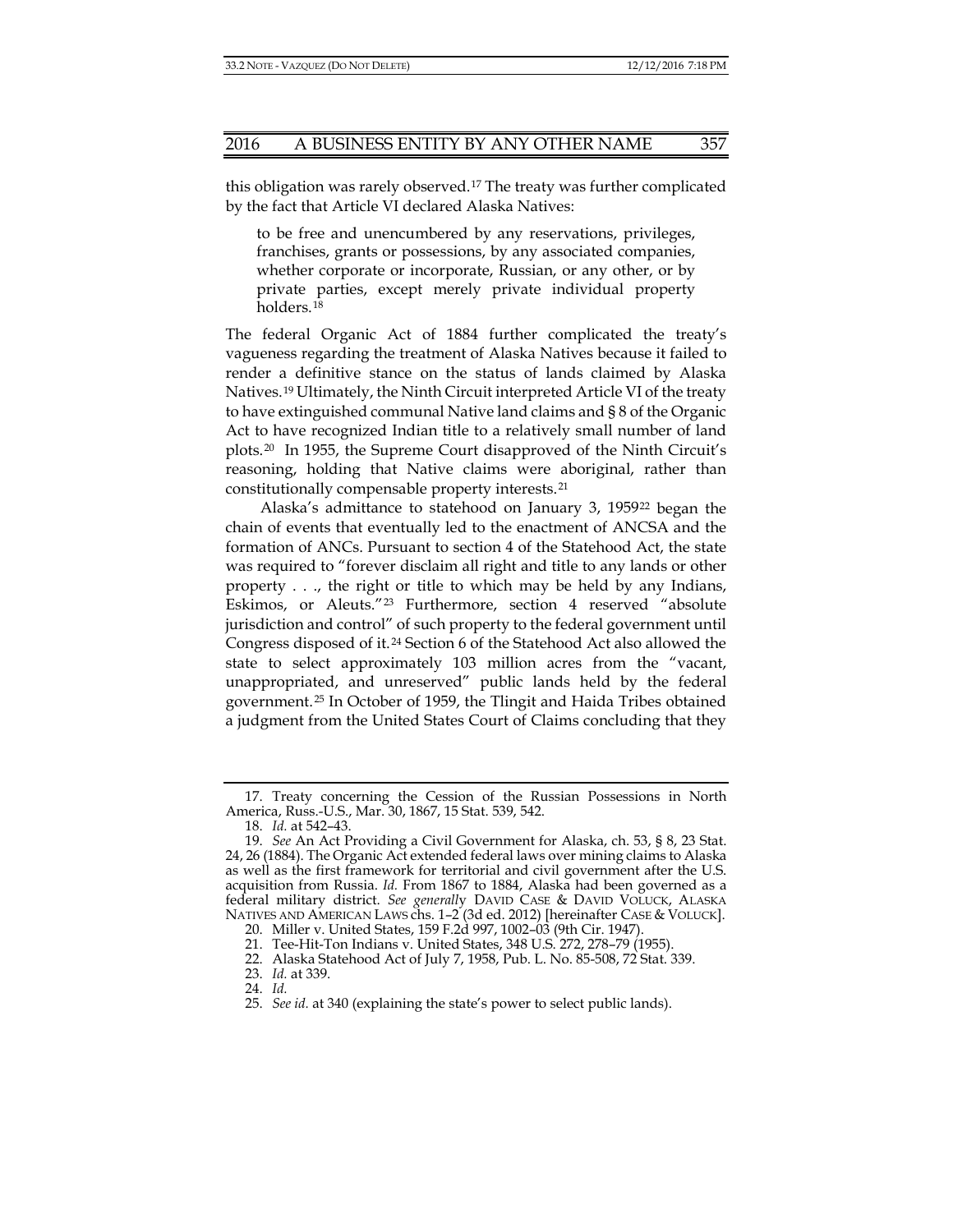this obligation was rarely observed.[17](#page-4-0) The treaty was further complicated by the fact that Article VI declared Alaska Natives:

to be free and unencumbered by any reservations, privileges, franchises, grants or possessions, by any associated companies, whether corporate or incorporate, Russian, or any other, or by private parties, except merely private individual property holders.[18](#page-4-1)

<span id="page-4-9"></span>The federal Organic Act of 1884 further complicated the treaty's vagueness regarding the treatment of Alaska Natives because it failed to render a definitive stance on the status of lands claimed by Alaska Natives.[19](#page-4-2) Ultimately, the Ninth Circuit interpreted Article VI of the treaty to have extinguished communal Native land claims and § 8 of the Organic Act to have recognized Indian title to a relatively small number of land plots.[20](#page-4-3) In 1955, the Supreme Court disapproved of the Ninth Circuit's reasoning, holding that Native claims were aboriginal, rather than constitutionally compensable property interests.[21](#page-4-4)

Alaska's admittance to statehood on January 3, 1959[22](#page-4-5) began the chain of events that eventually led to the enactment of ANCSA and the formation of ANCs. Pursuant to section 4 of the Statehood Act, the state was required to "forever disclaim all right and title to any lands or other property . . ., the right or title to which may be held by any Indians, Eskimos, or Aleuts."[23](#page-4-6) Furthermore, section 4 reserved "absolute jurisdiction and control" of such property to the federal government until Congress disposed of it.[24](#page-4-7) Section 6 of the Statehood Act also allowed the state to select approximately 103 million acres from the "vacant, unappropriated, and unreserved" public lands held by the federal government.[25](#page-4-8) In October of 1959, the Tlingit and Haida Tribes obtained a judgment from the United States Court of Claims concluding that they

<span id="page-4-0"></span><sup>17.</sup> Treaty concerning the Cession of the Russian Possessions in North America, Russ.-U.S., Mar. 30, 1867, 15 Stat. 539, 542.

<sup>18.</sup> *Id.* at 542–43.

<span id="page-4-3"></span><span id="page-4-2"></span><span id="page-4-1"></span><sup>19.</sup> *See* An Act Providing a Civil Government for Alaska, ch. 53, § 8, 23 Stat. 24, 26 (1884). The Organic Act extended federal laws over mining claims to Alaska as well as the first framework for territorial and civil government after the U.S. acquisition from Russia. *Id.* From 1867 to 1884, Alaska had been governed as a federal military district. *See generall*y DAVID CASE & DAVID VOLUCK, ALASKA NATIVES AND AMERICAN LAWS chs. 1–2 (3d ed. 2012) [hereinafter CASE & VOLUCK].

<sup>20.</sup> Miller v. United States, 159 F.2d 997, 1002–03 (9th Cir. 1947).

<sup>21.</sup> Tee-Hit-Ton Indians v. United States, 348 U.S. 272, 278–79 (1955).

<sup>22.</sup> Alaska Statehood Act of July 7, 1958, Pub. L. No. 85-508, 72 Stat. 339.

<span id="page-4-7"></span><span id="page-4-6"></span><span id="page-4-5"></span><span id="page-4-4"></span><sup>23.</sup> *Id.* at 339.

<span id="page-4-8"></span><sup>24.</sup> *Id.*

<sup>25.</sup> *See id.* at 340 (explaining the state's power to select public lands).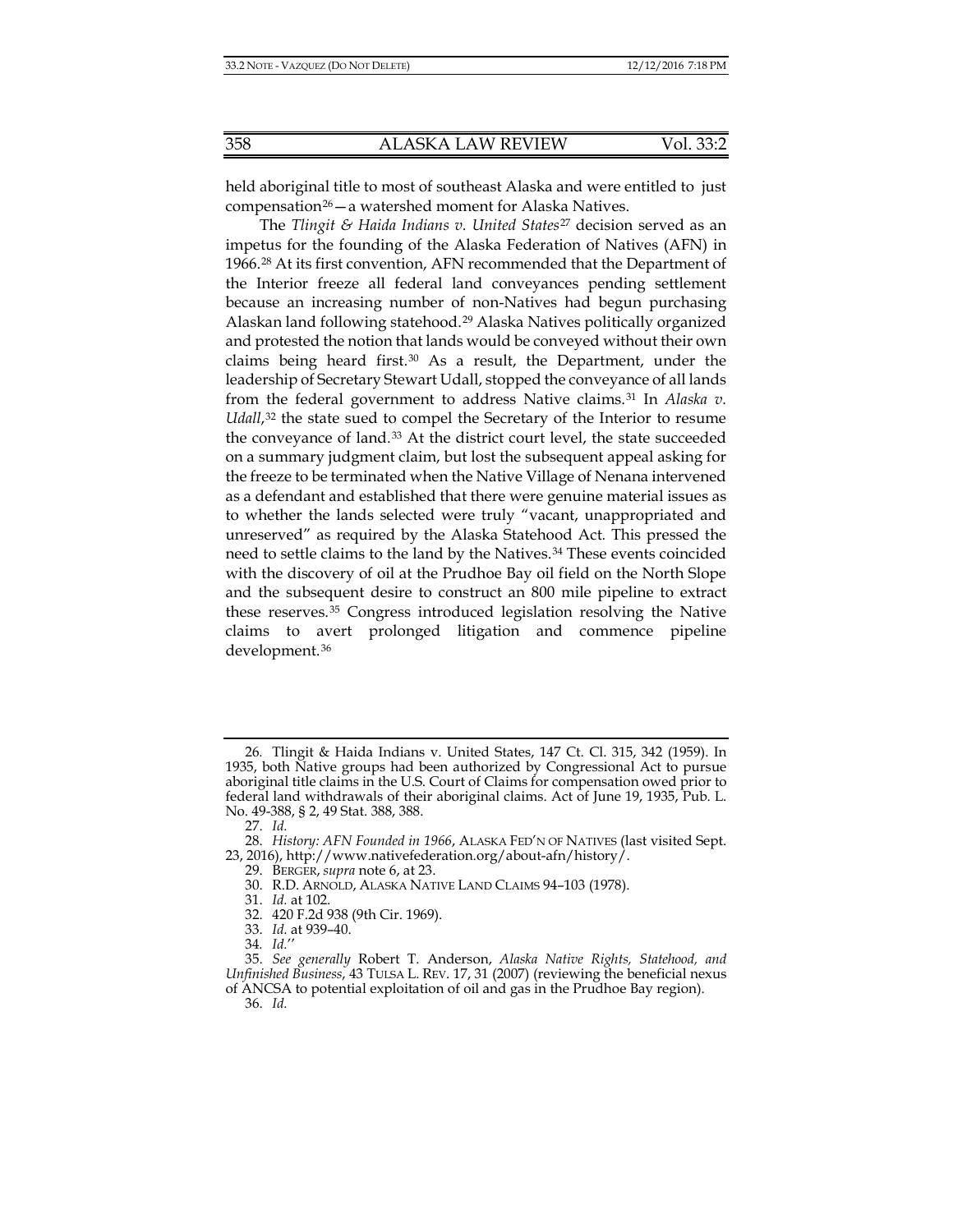held aboriginal title to most of southeast Alaska and were entitled to just compensation<sup>26</sup> $-$ a watershed moment for Alaska Natives.

The *Tlingit & Haida Indians v. United States*[27](#page-5-1) decision served as an impetus for the founding of the Alaska Federation of Natives (AFN) in 1966.[28](#page-5-2) At its first convention, AFN recommended that the Department of the Interior freeze all federal land conveyances pending settlement because an increasing number of non-Natives had begun purchasing Alaskan land following statehood.[29](#page-5-3) Alaska Natives politically organized and protested the notion that lands would be conveyed without their own claims being heard first. $30$  As a result, the Department, under the leadership of Secretary Stewart Udall, stopped the conveyance of all lands from the federal government to address Native claims.[31](#page-5-5) In *Alaska v. Udall*,<sup>[32](#page-5-6)</sup> the state sued to compel the Secretary of the Interior to resume the conveyance of land.<sup>[33](#page-5-7)</sup> At the district court level, the state succeeded on a summary judgment claim, but lost the subsequent appeal asking for the freeze to be terminated when the Native Village of Nenana intervened as a defendant and established that there were genuine material issues as to whether the lands selected were truly "vacant, unappropriated and unreserved" as required by the Alaska Statehood Act*.* This pressed the need to settle claims to the land by the Natives.[34](#page-5-8) These events coincided with the discovery of oil at the Prudhoe Bay oil field on the North Slope and the subsequent desire to construct an 800 mile pipeline to extract these reserves.[35](#page-5-9) Congress introduced legislation resolving the Native claims to avert prolonged litigation and commence pipeline development.[36](#page-5-10)

31. *Id.* at 102.

<span id="page-5-0"></span><sup>26</sup>*.* Tlingit & Haida Indians v. United States, 147 Ct. Cl. 315, 342 (1959). In 1935, both Native groups had been authorized by Congressional Act to pursue aboriginal title claims in the U.S. Court of Claims for compensation owed prior to federal land withdrawals of their aboriginal claims. Act of June 19, 1935, Pub. L. No. 49-388, § 2, 49 Stat. 388, 388.

<sup>27.</sup> *Id.*

<span id="page-5-5"></span><span id="page-5-4"></span><span id="page-5-3"></span><span id="page-5-2"></span><span id="page-5-1"></span><sup>28.</sup> *History: AFN Founded in 1966*, ALASKA FED'N OF NATIVES (last visited Sept. 23, 2016), http://www.nativefederation.org/about-afn/history/.

<sup>29.</sup> BERGER, *supra* note [6,](#page-2-4) at 23.

<sup>30.</sup> R.D. ARNOLD, ALASKA NATIVE LAND CLAIMS 94–103 (1978).

<sup>32.</sup> 420 F.2d 938 (9th Cir. 1969).

<sup>33.</sup> *Id.* at 939–40.

<sup>34</sup>*. Id.*''

<span id="page-5-10"></span><span id="page-5-9"></span><span id="page-5-8"></span><span id="page-5-7"></span><span id="page-5-6"></span><sup>35.</sup> *See generally* Robert T. Anderson, *Alaska Native Rights, Statehood, and Unfinished Business*, 43 TULSA L. REV. 17, 31 (2007) (reviewing the beneficial nexus of ANCSA to potential exploitation of oil and gas in the Prudhoe Bay region). 36. *Id.*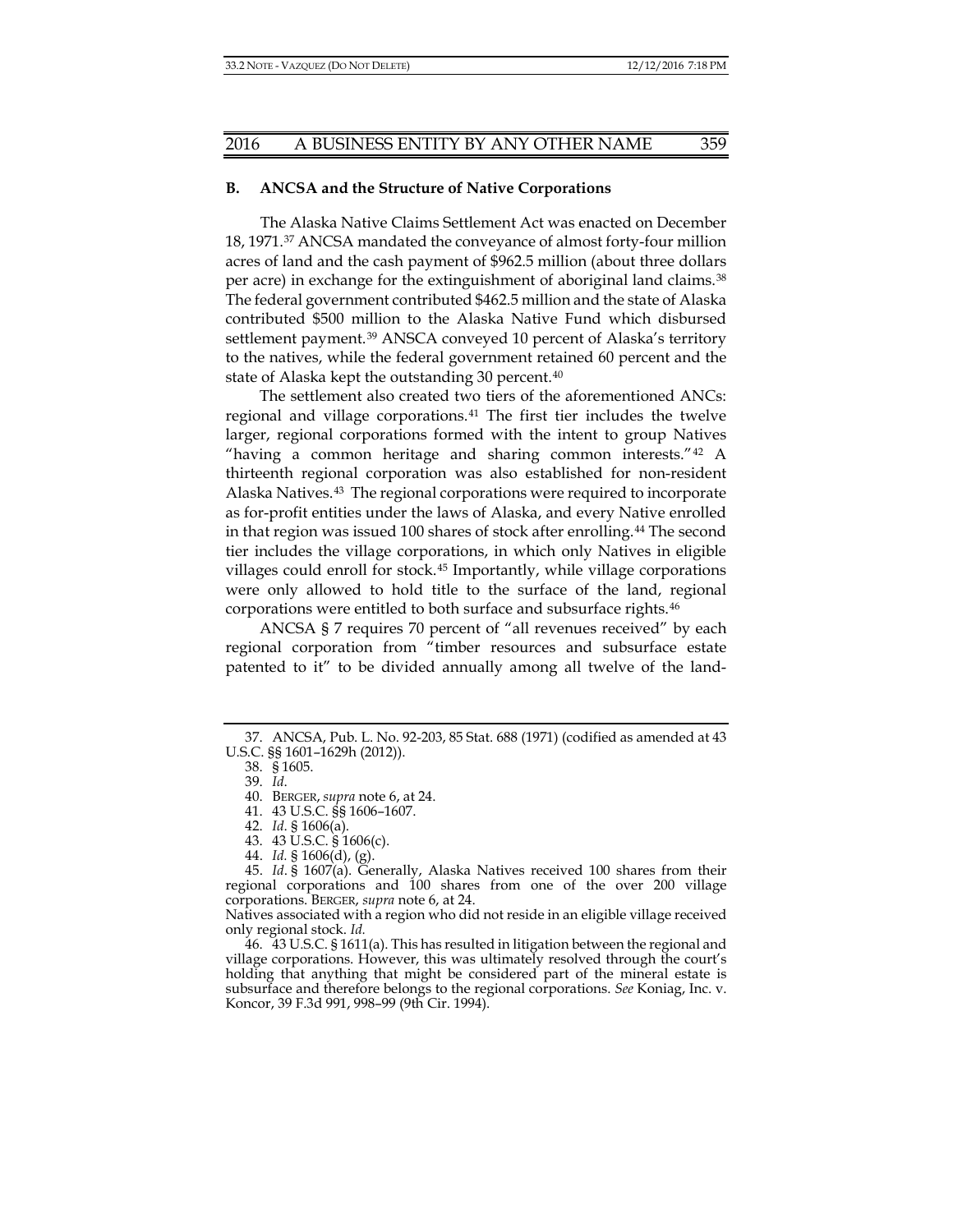#### **B. ANCSA and the Structure of Native Corporations**

The Alaska Native Claims Settlement Act was enacted on December 18, 1971.[37](#page-6-0) ANCSA mandated the conveyance of almost forty-four million acres of land and the cash payment of \$962.5 million (about three dollars per acre) in exchange for the extinguishment of aboriginal land claims.[38](#page-6-1) The federal government contributed \$462.5 million and the state of Alaska contributed \$500 million to the Alaska Native Fund which disbursed settlement payment.<sup>[39](#page-6-2)</sup> ANSCA conveyed 10 percent of Alaska's territory to the natives, while the federal government retained 60 percent and the state of Alaska kept the outstanding 30 percent.<sup>[40](#page-6-3)</sup>

The settlement also created two tiers of the aforementioned ANCs: regional and village corporations.[41](#page-6-4) The first tier includes the twelve larger, regional corporations formed with the intent to group Natives "having a common heritage and sharing common interests." $42$  A thirteenth regional corporation was also established for non-resident Alaska Natives.[43](#page-6-6) The regional corporations were required to incorporate as for-profit entities under the laws of Alaska, and every Native enrolled in that region was issued 100 shares of stock after enrolling.[44](#page-6-7) The second tier includes the village corporations, in which only Natives in eligible villages could enroll for stock.[45](#page-6-8) Importantly, while village corporations were only allowed to hold title to the surface of the land, regional corporations were entitled to both surface and subsurface rights.[46](#page-6-9)

ANCSA § 7 requires 70 percent of "all revenues received" by each regional corporation from "timber resources and subsurface estate patented to it" to be divided annually among all twelve of the land-

<span id="page-6-3"></span><span id="page-6-2"></span><span id="page-6-1"></span><span id="page-6-0"></span><sup>37.</sup> ANCSA, Pub. L. No. 92-203, 85 Stat. 688 (1971) (codified as amended at 43 U.S.C. §§ 1601–1629h (2012)).

<sup>38.</sup> § 1605.

<sup>39.</sup> *Id*.

<sup>40.</sup> BERGER, *supra* note [6,](#page-2-4) at 24.

<sup>41.</sup> 43 U.S.C. §§ 1606–1607.

<sup>42.</sup> *Id*. § 1606(a).

<sup>43.</sup> 43 U.S.C. § 1606(c).

<sup>44.</sup> *Id.* § 1606(d), (g).

<span id="page-6-8"></span><span id="page-6-7"></span><span id="page-6-6"></span><span id="page-6-5"></span><span id="page-6-4"></span><sup>45.</sup> *Id*. § 1607(a). Generally, Alaska Natives received 100 shares from their regional corporations and 100 shares from one of the over 200 village corporations. BERGER, *supra* not[e 6,](#page-2-4) at 24.

Natives associated with a region who did not reside in an eligible village received only regional stock. *Id.*

<span id="page-6-9"></span><sup>46.</sup> 43 U.S.C. § 1611(a). This has resulted in litigation between the regional and village corporations. However, this was ultimately resolved through the court's holding that anything that might be considered part of the mineral estate is subsurface and therefore belongs to the regional corporations. *See* Koniag, Inc. v. Koncor, 39 F.3d 991, 998–99 (9th Cir. 1994).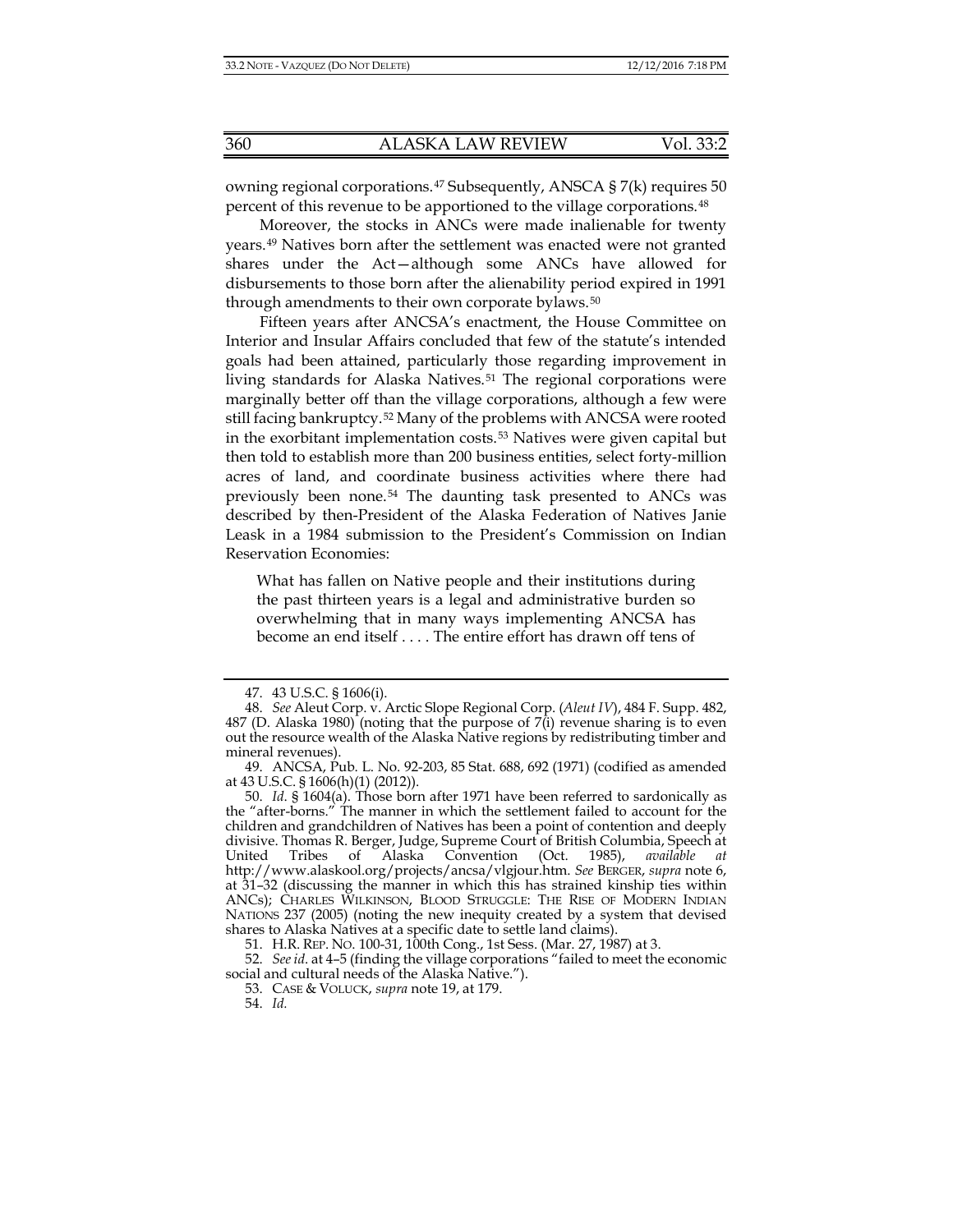owning regional corporations.[47](#page-7-0) Subsequently, ANSCA § 7(k) requires 50 percent of this revenue to be apportioned to the village corporations.[48](#page-7-1)

Moreover, the stocks in ANCs were made inalienable for twenty years.[49](#page-7-2) Natives born after the settlement was enacted were not granted shares under the Act—although some ANCs have allowed for disbursements to those born after the alienability period expired in 1991 through amendments to their own corporate bylaws.<sup>[50](#page-7-3)</sup>

Fifteen years after ANCSA's enactment, the House Committee on Interior and Insular Affairs concluded that few of the statute's intended goals had been attained, particularly those regarding improvement in living standards for Alaska Natives.<sup>[51](#page-7-4)</sup> The regional corporations were marginally better off than the village corporations, although a few were still facing bankruptcy.[52](#page-7-5) Many of the problems with ANCSA were rooted in the exorbitant implementation costs.[53](#page-7-6) Natives were given capital but then told to establish more than 200 business entities, select forty-million acres of land, and coordinate business activities where there had previously been none.[54](#page-7-7) The daunting task presented to ANCs was described by then-President of the Alaska Federation of Natives Janie Leask in a 1984 submission to the President's Commission on Indian Reservation Economies:

What has fallen on Native people and their institutions during the past thirteen years is a legal and administrative burden so overwhelming that in many ways implementing ANCSA has become an end itself . . . . The entire effort has drawn off tens of

<sup>47.</sup> 43 U.S.C. § 1606(i).

<span id="page-7-1"></span><span id="page-7-0"></span><sup>48.</sup> *See* Aleut Corp. v. Arctic Slope Regional Corp. (*Aleut IV*), 484 F. Supp. 482, 487 (D. Alaska 1980) (noting that the purpose of  $7(i)$  revenue sharing is to even out the resource wealth of the Alaska Native regions by redistributing timber and mineral revenues).

<span id="page-7-2"></span><sup>49.</sup> ANCSA, Pub. L. No. 92-203, 85 Stat. 688, 692 (1971) (codified as amended at 43 U.S.C. § 1606(h)(1) (2012)).

<span id="page-7-3"></span><sup>50.</sup> *Id*. § 1604(a). Those born after 1971 have been referred to sardonically as the "after-borns." The manner in which the settlement failed to account for the children and grandchildren of Natives has been a point of contention and deeply divisive. Thomas R. Berger, Judge, Supreme Court of British Columbia, Speech at United Tribes of Alaska Convention (Oct. 1985), *available at* http://www.alaskool.org/projects/ancsa/vlgjour.htm. *See* BERGER, *supra* note [6,](#page-2-4)  at 31–32 (discussing the manner in which this has strained kinship ties within ANCs); CHARLES WILKINSON, BLOOD STRUGGLE: THE RISE OF MODERN INDIAN NATIONS 237 (2005) (noting the new inequity created by a system that devised shares to Alaska Natives at a specific date to settle land claims).

<sup>51.</sup> H.R. REP. NO. 100-31, 100th Cong., 1st Sess. (Mar. 27, 1987) at 3.

<span id="page-7-7"></span><span id="page-7-6"></span><span id="page-7-5"></span><span id="page-7-4"></span><sup>52.</sup> *See id*. at 4–5 (finding the village corporations "failed to meet the economic social and cultural needs of the Alaska Native.").

<sup>53.</sup> CASE & VOLUCK, *supra* note [19,](#page-4-9) at 179.

<sup>54.</sup> *Id.*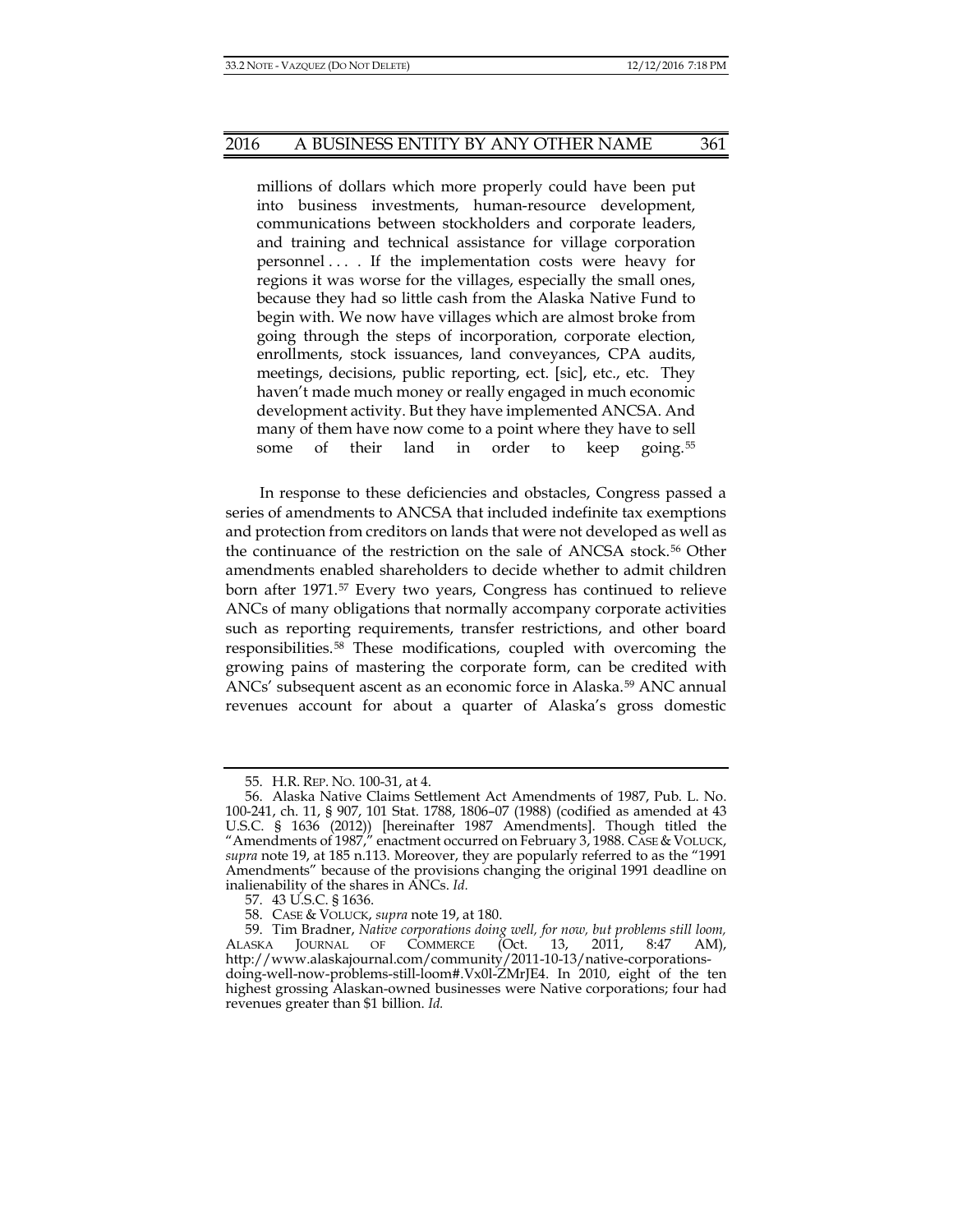millions of dollars which more properly could have been put into business investments, human-resource development, communications between stockholders and corporate leaders, and training and technical assistance for village corporation personnel . . . . If the implementation costs were heavy for regions it was worse for the villages, especially the small ones, because they had so little cash from the Alaska Native Fund to begin with. We now have villages which are almost broke from going through the steps of incorporation, corporate election, enrollments, stock issuances, land conveyances, CPA audits, meetings, decisions, public reporting, ect. [sic], etc., etc. They haven't made much money or really engaged in much economic development activity. But they have implemented ANCSA. And many of them have now come to a point where they have to sell some of their land in order to keep going.<sup>[55](#page-8-0)</sup>

In response to these deficiencies and obstacles, Congress passed a series of amendments to ANCSA that included indefinite tax exemptions and protection from creditors on lands that were not developed as well as the continuance of the restriction on the sale of ANCSA stock.[56](#page-8-1) Other amendments enabled shareholders to decide whether to admit children born after 1971.[57](#page-8-2) Every two years, Congress has continued to relieve ANCs of many obligations that normally accompany corporate activities such as reporting requirements, transfer restrictions, and other board responsibilities.[58](#page-8-3) These modifications, coupled with overcoming the growing pains of mastering the corporate form, can be credited with ANCs' subsequent ascent as an economic force in Alaska.[59](#page-8-4) ANC annual revenues account for about a quarter of Alaska's gross domestic

<sup>55.</sup> H.R. REP. NO. 100-31, at 4.

<span id="page-8-1"></span><span id="page-8-0"></span><sup>56.</sup> Alaska Native Claims Settlement Act Amendments of 1987, Pub. L. No. 100-241, ch. 11, § 907, 101 Stat. 1788, 1806–07 (1988) (codified as amended at 43 U.S.C. § 1636 (2012)) [hereinafter 1987 Amendments]. Though titled the "Amendments of 1987," enactment occurred on February 3, 1988. CASE & VOLUCK, *supra* note [19,](#page-4-9) at 185 n.113. Moreover, they are popularly referred to as the "1991 Amendments" because of the provisions changing the original 1991 deadline on inalienability of the shares in ANCs. *Id.*

<sup>57.</sup> 43 U.S.C. § 1636.

<sup>58.</sup> CASE & VOLUCK, *supra* note [19,](#page-4-9) at 180.

<span id="page-8-4"></span><span id="page-8-3"></span><span id="page-8-2"></span><sup>59.</sup> Tim Bradner, *Native corporations doing well, for now, but problems still loom,* ALASKA JOURNAL OF COMMERCE (Oct. 13, 2011, 8:47 AM), http://www.alaskajournal.com/community/2011-10-13/native-corporationsdoing-well-now-problems-still-loom#.Vx0l-ZMrJE4. In 2010, eight of the ten highest grossing Alaskan-owned businesses were Native corporations; four had revenues greater than \$1 billion. *Id.*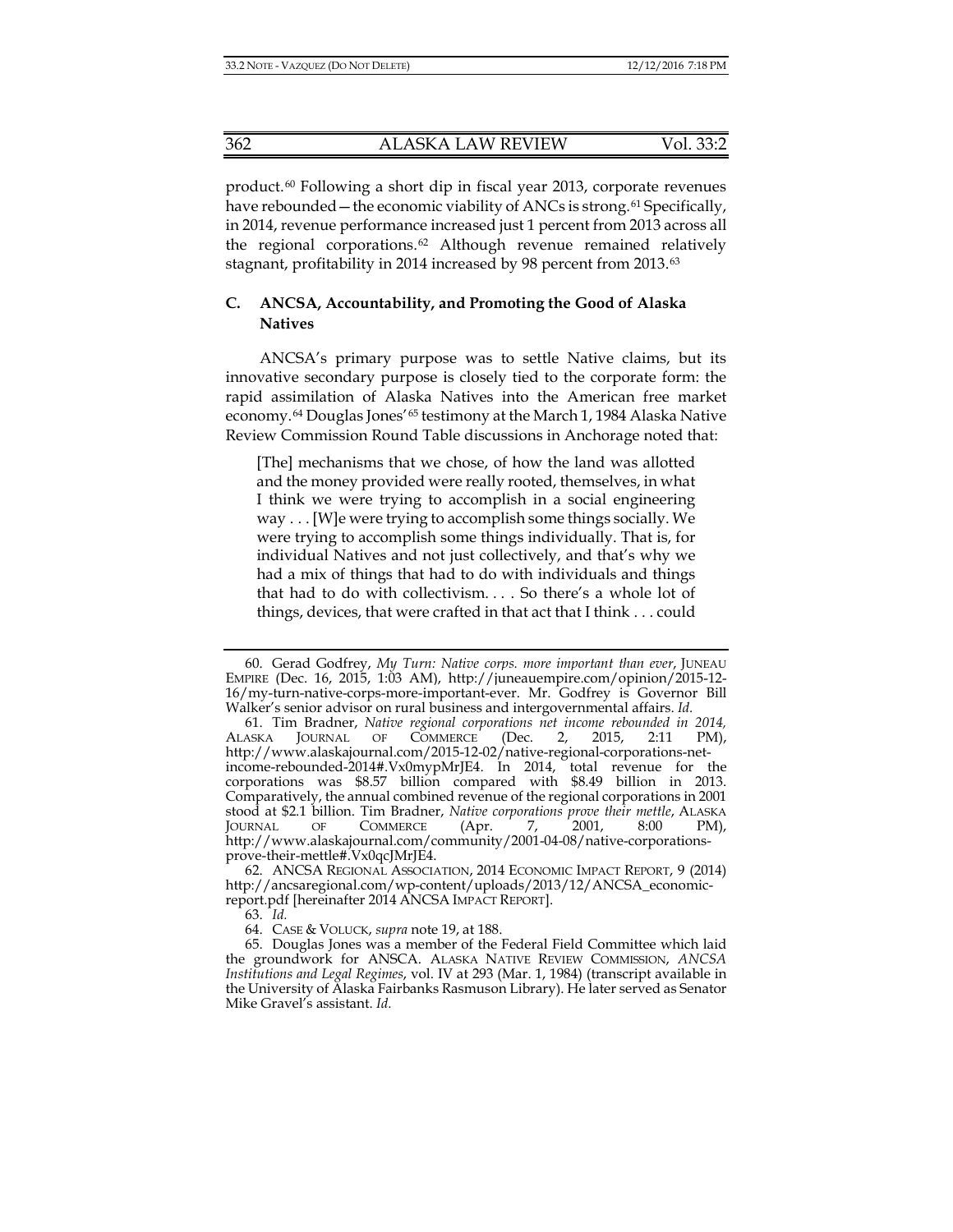<span id="page-9-6"></span>product.[60](#page-9-0) Following a short dip in fiscal year 2013, corporate revenues have rebounded — the economic viability of ANCs is strong.<sup>[61](#page-9-1)</sup> Specifically, in 2014, revenue performance increased just 1 percent from 2013 across all the regional corporations.[62](#page-9-2) Although revenue remained relatively stagnant, profitability in 2014 increased by 98 percent from 2013.[63](#page-9-3)

# **C. ANCSA, Accountability, and Promoting the Good of Alaska Natives**

ANCSA's primary purpose was to settle Native claims, but its innovative secondary purpose is closely tied to the corporate form: the rapid assimilation of Alaska Natives into the American free market economy.[64](#page-9-4) Douglas Jones'[65](#page-9-5) testimony at the March 1, 1984 Alaska Native Review Commission Round Table discussions in Anchorage noted that:

[The] mechanisms that we chose, of how the land was allotted and the money provided were really rooted, themselves, in what I think we were trying to accomplish in a social engineering way . . . [W]e were trying to accomplish some things socially. We were trying to accomplish some things individually. That is, for individual Natives and not just collectively, and that's why we had a mix of things that had to do with individuals and things that had to do with collectivism. . . . So there's a whole lot of things, devices, that were crafted in that act that I think . . . could

<span id="page-9-0"></span><sup>60.</sup> Gerad Godfrey, *My Turn: Native corps. more important than ever*, JUNEAU EMPIRE (Dec. 16, 2015, 1:03 AM), http://juneauempire.com/opinion/2015-12- 16/my-turn-native-corps-more-important-ever. Mr. Godfrey is Governor Bill Walker's senior advisor on rural business and intergovernmental affairs. *Id.*

<span id="page-9-1"></span><sup>61.</sup> Tim Bradner, *Native regional corporations net income rebounded in 2014,* ALASKA JOURNAL OF COMMERCE (Dec. 2, 2015, 2:11 PM), http://www.alaskajournal.com/2015-12-02/native-regional-corporations-netincome-rebounded-2014#.Vx0mypMrJE4. In 2014, total revenue for the corporations was \$8.57 billion compared with \$8.49 billion in 2013. Comparatively, the annual combined revenue of the regional corporations in 2001 stood at \$2.1 billion. Tim Bradner, *Native corporations prove their mettle*, ALASKA JOURNAL OF COMMERCE (Apr. 7, 2001, 8:00 PM), http://www.alaskajournal.com/community/2001-04-08/native-corporationsprove-their-mettle#.Vx0qcJMrJE4.

<span id="page-9-2"></span><sup>62.</sup> ANCSA REGIONAL ASSOCIATION, 2014 ECONOMIC IMPACT REPORT, 9 (2014) http://ancsaregional.com/wp-content/uploads/2013/12/ANCSA\_economicreport.pdf [hereinafter 2014 ANCSA IMPACT REPORT].

<sup>63.</sup> *Id.*

<sup>64.</sup> CASE & VOLUCK, *supra* note [19,](#page-4-9) at 188.

<span id="page-9-5"></span><span id="page-9-4"></span><span id="page-9-3"></span><sup>65.</sup> Douglas Jones was a member of the Federal Field Committee which laid the groundwork for ANSCA. ALASKA NATIVE REVIEW COMMISSION, *ANCSA Institutions and Legal Regimes*, vol. IV at 293 (Mar. 1, 1984) (transcript available in the University of Alaska Fairbanks Rasmuson Library). He later served as Senator Mike Gravel's assistant. *Id.*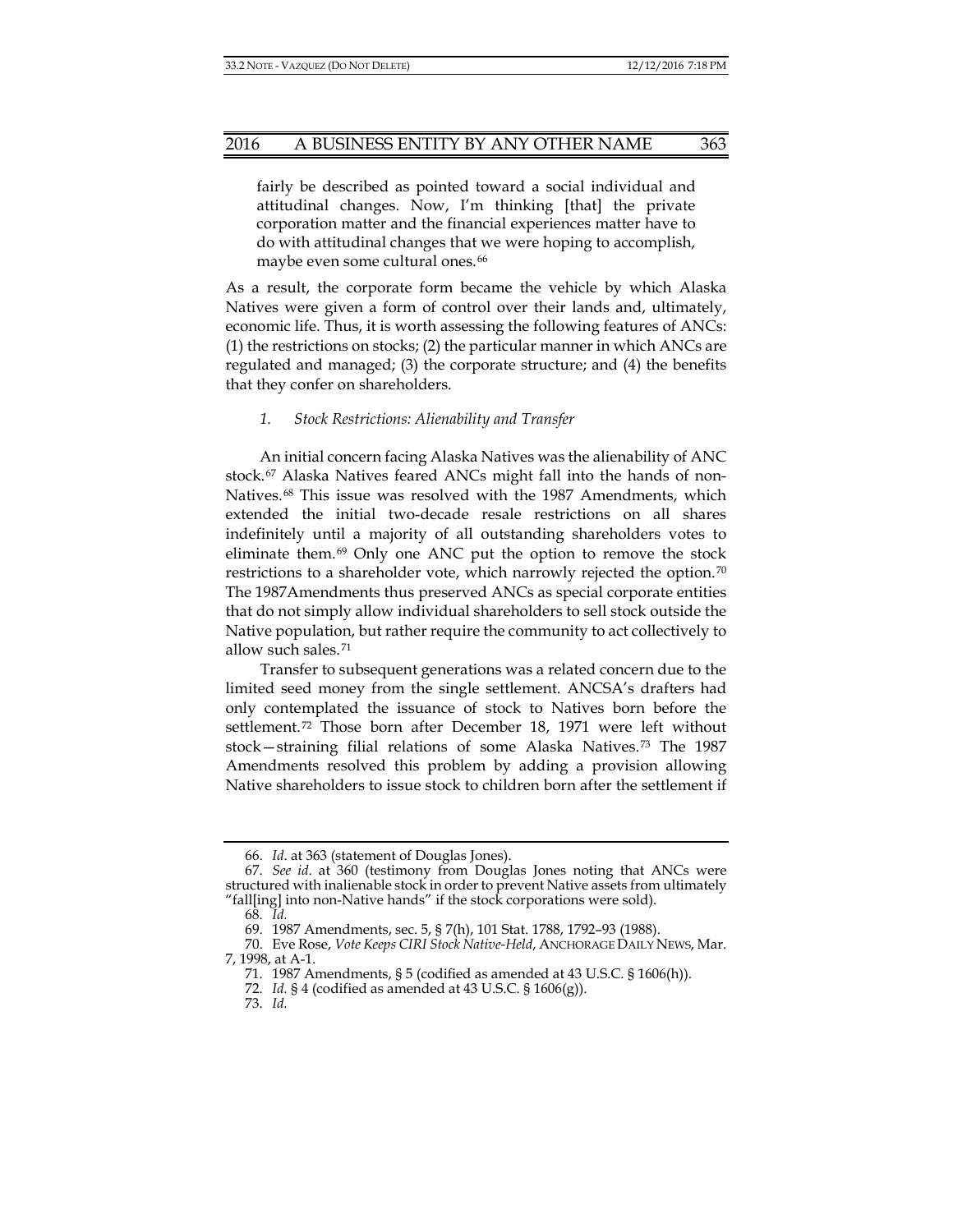fairly be described as pointed toward a social individual and attitudinal changes. Now, I'm thinking [that] the private corporation matter and the financial experiences matter have to do with attitudinal changes that we were hoping to accomplish, maybe even some cultural ones.<sup>[66](#page-10-0)</sup>

As a result, the corporate form became the vehicle by which Alaska Natives were given a form of control over their lands and, ultimately, economic life. Thus, it is worth assessing the following features of ANCs: (1) the restrictions on stocks; (2) the particular manner in which ANCs are regulated and managed; (3) the corporate structure; and (4) the benefits that they confer on shareholders.

#### *1. Stock Restrictions: Alienability and Transfer*

An initial concern facing Alaska Natives was the alienability of ANC stock.[67](#page-10-1) Alaska Natives feared ANCs might fall into the hands of non-Natives.[68](#page-10-2) This issue was resolved with the 1987 Amendments, which extended the initial two-decade resale restrictions on all shares indefinitely until a majority of all outstanding shareholders votes to eliminate them.[69](#page-10-3) Only one ANC put the option to remove the stock restrictions to a shareholder vote, which narrowly rejected the option.[70](#page-10-4) The 1987Amendments thus preserved ANCs as special corporate entities that do not simply allow individual shareholders to sell stock outside the Native population, but rather require the community to act collectively to allow such sales.[71](#page-10-5)

Transfer to subsequent generations was a related concern due to the limited seed money from the single settlement. ANCSA's drafters had only contemplated the issuance of stock to Natives born before the settlement.[72](#page-10-6) Those born after December 18, 1971 were left without stock—straining filial relations of some Alaska Natives.[73](#page-10-7) The 1987 Amendments resolved this problem by adding a provision allowing Native shareholders to issue stock to children born after the settlement if

<sup>66.</sup> *Id*. at 363 (statement of Douglas Jones).

<span id="page-10-1"></span><span id="page-10-0"></span><sup>67.</sup> *See id*. at 360 (testimony from Douglas Jones noting that ANCs were structured with inalienable stock in order to prevent Native assets from ultimately "fall[ing] into non-Native hands" if the stock corporations were sold).

<sup>68.</sup> *Id.*

<sup>69.</sup> 1987 Amendments, sec. 5, § 7(h), 101 Stat. 1788, 1792–93 (1988).

<span id="page-10-7"></span><span id="page-10-6"></span><span id="page-10-5"></span><span id="page-10-4"></span><span id="page-10-3"></span><span id="page-10-2"></span><sup>70.</sup> Eve Rose, *Vote Keeps CIRI Stock Native-Held*, ANCHORAGE DAILY NEWS, Mar. 7, 1998, at A-1.

<sup>71.</sup> 1987 Amendments, § 5 (codified as amended at 43 U.S.C. § 1606(h)).

<sup>72.</sup> *Id.* § 4 (codified as amended at 43 U.S.C. § 1606(g)).

<sup>73.</sup> *Id.*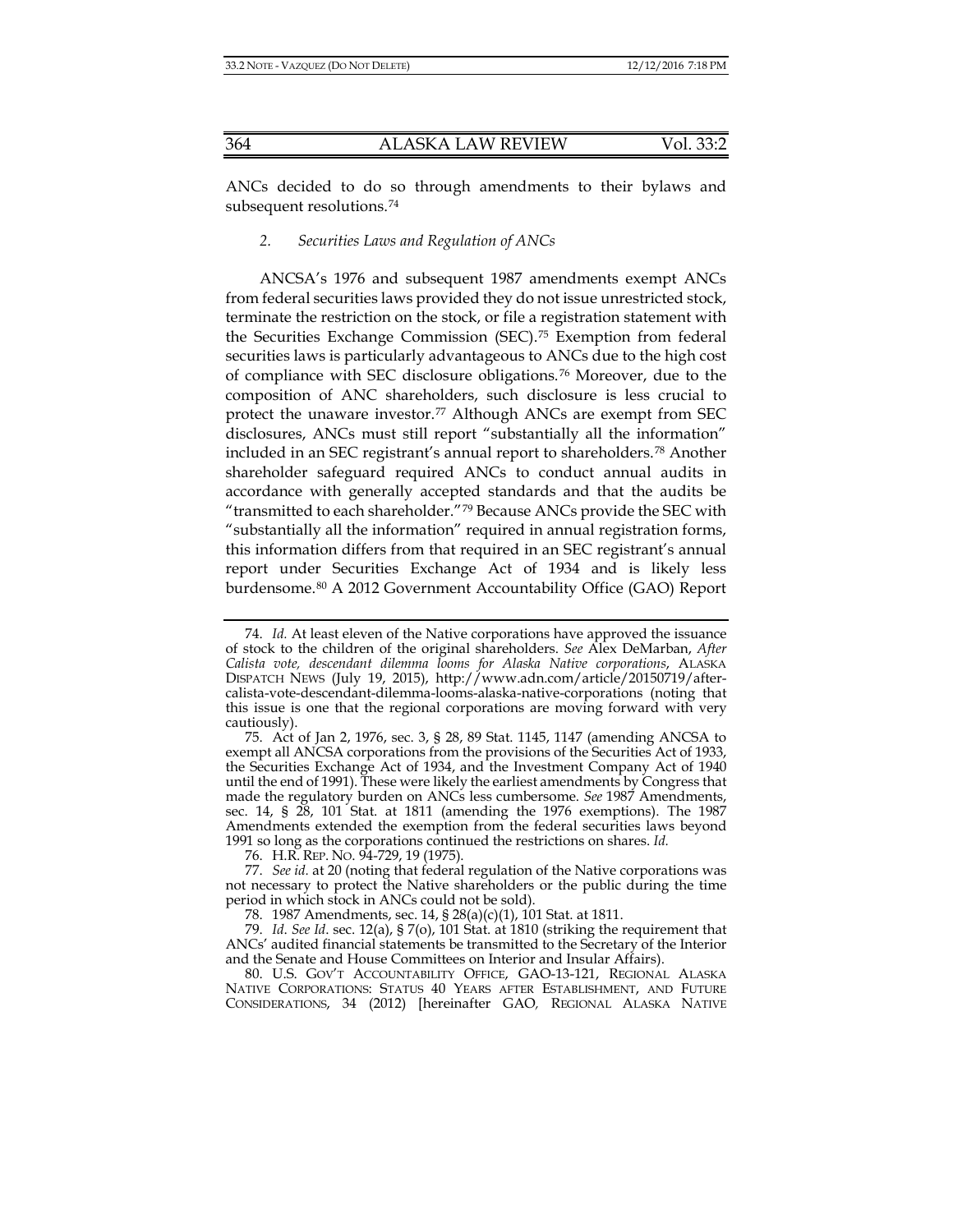ANCs decided to do so through amendments to their bylaws and subsequent resolutions.<sup>[74](#page-11-0)</sup>

### *2. Securities Laws and Regulation of ANCs*

ANCSA's 1976 and subsequent 1987 amendments exempt ANCs from federal securities laws provided they do not issue unrestricted stock, terminate the restriction on the stock, or file a registration statement with the Securities Exchange Commission (SEC).[75](#page-11-1) Exemption from federal securities laws is particularly advantageous to ANCs due to the high cost of compliance with SEC disclosure obligations.[76](#page-11-2) Moreover, due to the composition of ANC shareholders, such disclosure is less crucial to protect the unaware investor.[77](#page-11-3) Although ANCs are exempt from SEC disclosures, ANCs must still report "substantially all the information" included in an SEC registrant's annual report to shareholders.[78](#page-11-4) Another shareholder safeguard required ANCs to conduct annual audits in accordance with generally accepted standards and that the audits be "transmitted to each shareholder."[79](#page-11-5) Because ANCs provide the SEC with "substantially all the information" required in annual registration forms, this information differs from that required in an SEC registrant's annual report under Securities Exchange Act of 1934 and is likely less burdensome.[80](#page-11-6) A 2012 Government Accountability Office (GAO) Report

76. H.R. REP. NO. 94-729, 19 (1975).

<span id="page-11-7"></span><span id="page-11-0"></span><sup>74.</sup> *Id.* At least eleven of the Native corporations have approved the issuance of stock to the children of the original shareholders. *See* Alex DeMarban, *After Calista vote, descendant dilemma looms for Alaska Native corporations*, ALASKA DISPATCH NEWS (July 19, 2015), http://www.adn.com/article/20150719/aftercalista-vote-descendant-dilemma-looms-alaska-native-corporations (noting that this issue is one that the regional corporations are moving forward with very cautiously).

<span id="page-11-1"></span><sup>75.</sup> Act of Jan 2, 1976, sec. 3, § 28, 89 Stat. 1145, 1147 (amending ANCSA to exempt all ANCSA corporations from the provisions of the Securities Act of 1933, the Securities Exchange Act of 1934, and the Investment Company Act of 1940 until the end of 1991). These were likely the earliest amendments by Congress that made the regulatory burden on ANCs less cumbersome. *See* 1987 Amendments, sec. 14, § 28, 101 Stat. at 1811 (amending the 1976 exemptions). The 1987 Amendments extended the exemption from the federal securities laws beyond 1991 so long as the corporations continued the restrictions on shares. *Id.*

<span id="page-11-3"></span><span id="page-11-2"></span><sup>77.</sup> *See id.* at 20 (noting that federal regulation of the Native corporations was not necessary to protect the Native shareholders or the public during the time period in which stock in ANCs could not be sold).

<sup>78.</sup> 1987 Amendments, sec. 14, § 28(a)(c)(1), 101 Stat. at 1811.

<span id="page-11-5"></span><span id="page-11-4"></span><sup>79.</sup> *Id*. *See Id*. sec. 12(a), § 7(o), 101 Stat. at 1810 (striking the requirement that ANCs' audited financial statements be transmitted to the Secretary of the Interior and the Senate and House Committees on Interior and Insular Affairs).

<span id="page-11-6"></span><sup>80.</sup> U.S. GOV'T ACCOUNTABILITY OFFICE, GAO-13-121, REGIONAL ALASKA NATIVE CORPORATIONS: STATUS 40 YEARS AFTER ESTABLISHMENT, AND FUTURE CONSIDERATIONS, 34 (2012) [hereinafter GAO*,* REGIONAL ALASKA NATIVE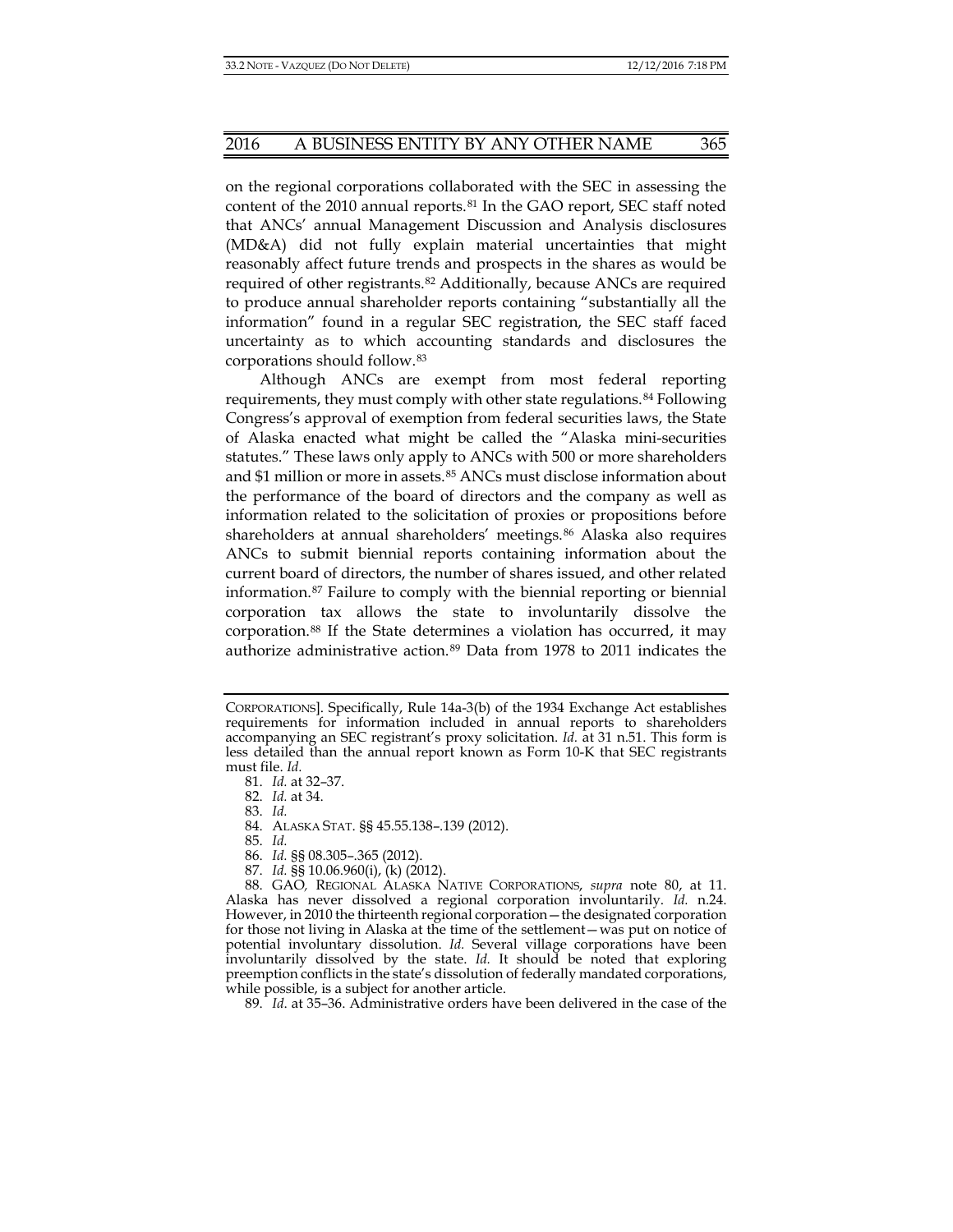on the regional corporations collaborated with the SEC in assessing the content of the 2010 annual reports.[81](#page-12-0) In the GAO report, SEC staff noted that ANCs' annual Management Discussion and Analysis disclosures (MD&A) did not fully explain material uncertainties that might reasonably affect future trends and prospects in the shares as would be required of other registrants.[82](#page-12-1) Additionally, because ANCs are required to produce annual shareholder reports containing "substantially all the information" found in a regular SEC registration, the SEC staff faced uncertainty as to which accounting standards and disclosures the corporations should follow.[83](#page-12-2)

Although ANCs are exempt from most federal reporting requirements, they must comply with other state regulations.[84](#page-12-3) Following Congress's approval of exemption from federal securities laws, the State of Alaska enacted what might be called the "Alaska mini-securities statutes." These laws only apply to ANCs with 500 or more shareholders and \$1 million or more in assets.[85](#page-12-4) ANCs must disclose information about the performance of the board of directors and the company as well as information related to the solicitation of proxies or propositions before shareholders at annual shareholders' meetings.[86](#page-12-5) Alaska also requires ANCs to submit biennial reports containing information about the current board of directors, the number of shares issued, and other related information.[87](#page-12-6) Failure to comply with the biennial reporting or biennial corporation tax allows the state to involuntarily dissolve the corporation.[88](#page-12-7) If the State determines a violation has occurred, it may authorize administrative action.[89](#page-12-8) Data from 1978 to 2011 indicates the

82. *Id.* at 34.

83. *Id.*

84. ALASKA STAT. §§ 45.55.138–.139 (2012).

85. *Id.*

- 86. *Id.* §§ 08.305–.365 (2012).
- 87. *Id.* §§ 10.06.960(i), (k) (2012).

<span id="page-12-7"></span><span id="page-12-6"></span><span id="page-12-5"></span><span id="page-12-4"></span><span id="page-12-3"></span><span id="page-12-2"></span>88. GAO*,* REGIONAL ALASKA NATIVE CORPORATIONS, *supra* note [80,](#page-11-7) at 11. Alaska has never dissolved a regional corporation involuntarily. *Id.* n.24. However, in 2010 the thirteenth regional corporation—the designated corporation for those not living in Alaska at the time of the settlement—was put on notice of potential involuntary dissolution. *Id.* Several village corporations have been involuntarily dissolved by the state. *Id*. It should be noted that exploring preemption conflicts in the state's dissolution of federally mandated corporations, while possible, is a subject for another article.

<span id="page-12-8"></span>89. *Id*. at 35–36. Administrative orders have been delivered in the case of the

<span id="page-12-1"></span><span id="page-12-0"></span>CORPORATIONS]. Specifically, Rule 14a-3(b) of the 1934 Exchange Act establishes requirements for information included in annual reports to shareholders accompanying an SEC registrant's proxy solicitation. *Id.* at 31 n.51. This form is less detailed than the annual report known as Form 10-K that SEC registrants must file. *Id.*

<sup>81.</sup> *Id.* at 32–37.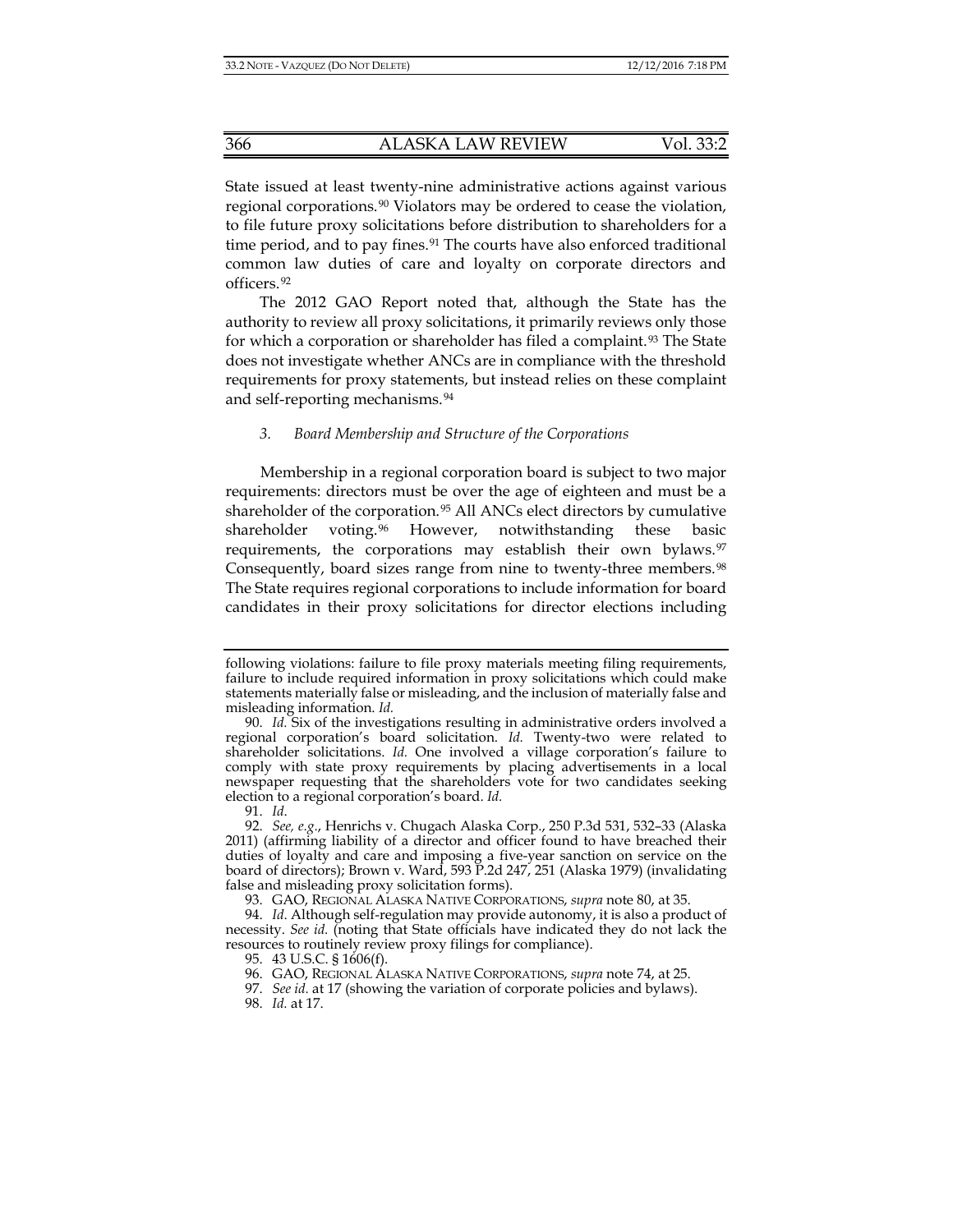State issued at least twenty-nine administrative actions against various regional corporations.[90](#page-13-0) Violators may be ordered to cease the violation, to file future proxy solicitations before distribution to shareholders for a time period, and to pay fines.<sup>[91](#page-13-1)</sup> The courts have also enforced traditional common law duties of care and loyalty on corporate directors and officers.[92](#page-13-2)

The 2012 GAO Report noted that, although the State has the authority to review all proxy solicitations, it primarily reviews only those for which a corporation or shareholder has filed a complaint.<sup>[93](#page-13-3)</sup> The State does not investigate whether ANCs are in compliance with the threshold requirements for proxy statements, but instead relies on these complaint and self-reporting mechanisms.[94](#page-13-4)

#### *3. Board Membership and Structure of the Corporations*

Membership in a regional corporation board is subject to two major requirements: directors must be over the age of eighteen and must be a shareholder of the corporation.[95](#page-13-5) All ANCs elect directors by cumulative shareholder voting.<sup>[96](#page-13-6)</sup> However, notwithstanding these basic requirements, the corporations may establish their own bylaws.<sup>[97](#page-13-7)</sup> Consequently, board sizes range from nine to twenty-three members.<sup>[98](#page-13-8)</sup> The State requires regional corporations to include information for board candidates in their proxy solicitations for director elections including

following violations: failure to file proxy materials meeting filing requirements, failure to include required information in proxy solicitations which could make statements materially false or misleading, and the inclusion of materially false and misleading information. *Id.*

<span id="page-13-0"></span><sup>90.</sup> *Id.* Six of the investigations resulting in administrative orders involved a regional corporation's board solicitation. *Id.* Twenty-two were related to shareholder solicitations. *Id.* One involved a village corporation's failure to comply with state proxy requirements by placing advertisements in a local newspaper requesting that the shareholders vote for two candidates seeking election to a regional corporation's board. *Id.*

<sup>91.</sup> *Id*.

<span id="page-13-2"></span><span id="page-13-1"></span><sup>92.</sup> *See, e.g.*, Henrichs v. Chugach Alaska Corp., 250 P.3d 531, 532–33 (Alaska 2011) (affirming liability of a director and officer found to have breached their duties of loyalty and care and imposing a five-year sanction on service on the board of directors); Brown v. Ward, 593 P.2d 247, 251 (Alaska 1979) (invalidating false and misleading proxy solicitation forms).

<sup>93.</sup> GAO, REGIONAL ALASKA NATIVE CORPORATIONS, *supra* not[e 80,](#page-11-7) at 35.

<span id="page-13-8"></span><span id="page-13-7"></span><span id="page-13-6"></span><span id="page-13-5"></span><span id="page-13-4"></span><span id="page-13-3"></span><sup>94.</sup> *Id*. Although self-regulation may provide autonomy, it is also a product of necessity. *See id.* (noting that State officials have indicated they do not lack the resources to routinely review proxy filings for compliance).

<sup>95.</sup> 43 U.S.C. § 1606(f).

<sup>96.</sup> GAO, REGIONAL ALASKA NATIVE CORPORATIONS, *supra* note 74, at 25.

<sup>97.</sup> *See id.* at 17 (showing the variation of corporate policies and bylaws). 98. *Id.* at 17.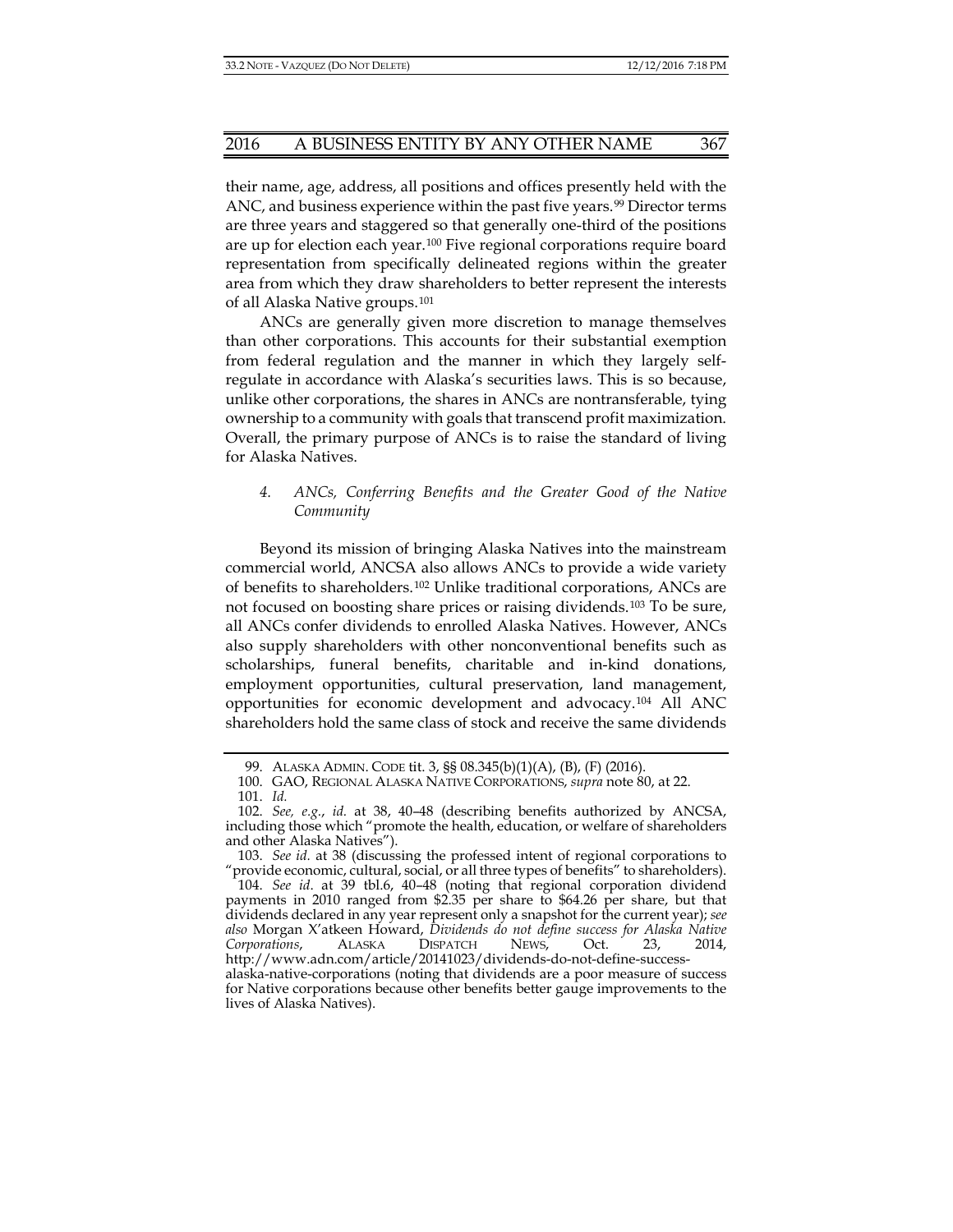their name, age, address, all positions and offices presently held with the ANC, and business experience within the past five years.<sup>[99](#page-14-0)</sup> Director terms are three years and staggered so that generally one-third of the positions are up for election each year.[100](#page-14-1) Five regional corporations require board representation from specifically delineated regions within the greater area from which they draw shareholders to better represent the interests of all Alaska Native groups.[101](#page-14-2)

ANCs are generally given more discretion to manage themselves than other corporations. This accounts for their substantial exemption from federal regulation and the manner in which they largely selfregulate in accordance with Alaska's securities laws. This is so because, unlike other corporations, the shares in ANCs are nontransferable, tying ownership to a community with goals that transcend profit maximization. Overall, the primary purpose of ANCs is to raise the standard of living for Alaska Natives.

# *4. ANCs, Conferring Benefits and the Greater Good of the Native Community*

Beyond its mission of bringing Alaska Natives into the mainstream commercial world, ANCSA also allows ANCs to provide a wide variety of benefits to shareholders.[102](#page-14-3) Unlike traditional corporations, ANCs are not focused on boosting share prices or raising dividends.[103](#page-14-4) To be sure, all ANCs confer dividends to enrolled Alaska Natives. However, ANCs also supply shareholders with other nonconventional benefits such as scholarships, funeral benefits, charitable and in-kind donations, employment opportunities, cultural preservation, land management, opportunities for economic development and advocacy.[104](#page-14-5) All ANC shareholders hold the same class of stock and receive the same dividends

<sup>99.</sup> ALASKA ADMIN. CODE tit. 3, §§ 08.345(b)(1)(A), (B), (F) (2016).

<sup>100.</sup> GAO, REGIONAL ALASKA NATIVE CORPORATIONS, *supra* not[e 80,](#page-11-7) at 22.

<sup>101.</sup> *Id.*

<span id="page-14-3"></span><span id="page-14-2"></span><span id="page-14-1"></span><span id="page-14-0"></span><sup>102.</sup> *See, e.g.*, *id.* at 38, 40–48 (describing benefits authorized by ANCSA, including those which "promote the health, education, or welfare of shareholders and other Alaska Natives").

<span id="page-14-4"></span><sup>103.</sup> *See id.* at 38 (discussing the professed intent of regional corporations to "provide economic, cultural, social, or all three types of benefits" to shareholders).

<span id="page-14-5"></span><sup>104.</sup> *See id*. at 39 tbl.6, 40–48 (noting that regional corporation dividend payments in 2010 ranged from \$2.35 per share to \$64.26 per share, but that dividends declared in any year represent only a snapshot for the current year); *see also* Morgan X'atkeen Howard, *Dividends do not define success for Alaska Native Corporations*, ALASKA DISPATCH NEWS, Oct. 23, 2014, http://www.adn.com/article/20141023/dividends-do-not-define-success-

alaska-native-corporations (noting that dividends are a poor measure of success for Native corporations because other benefits better gauge improvements to the lives of Alaska Natives).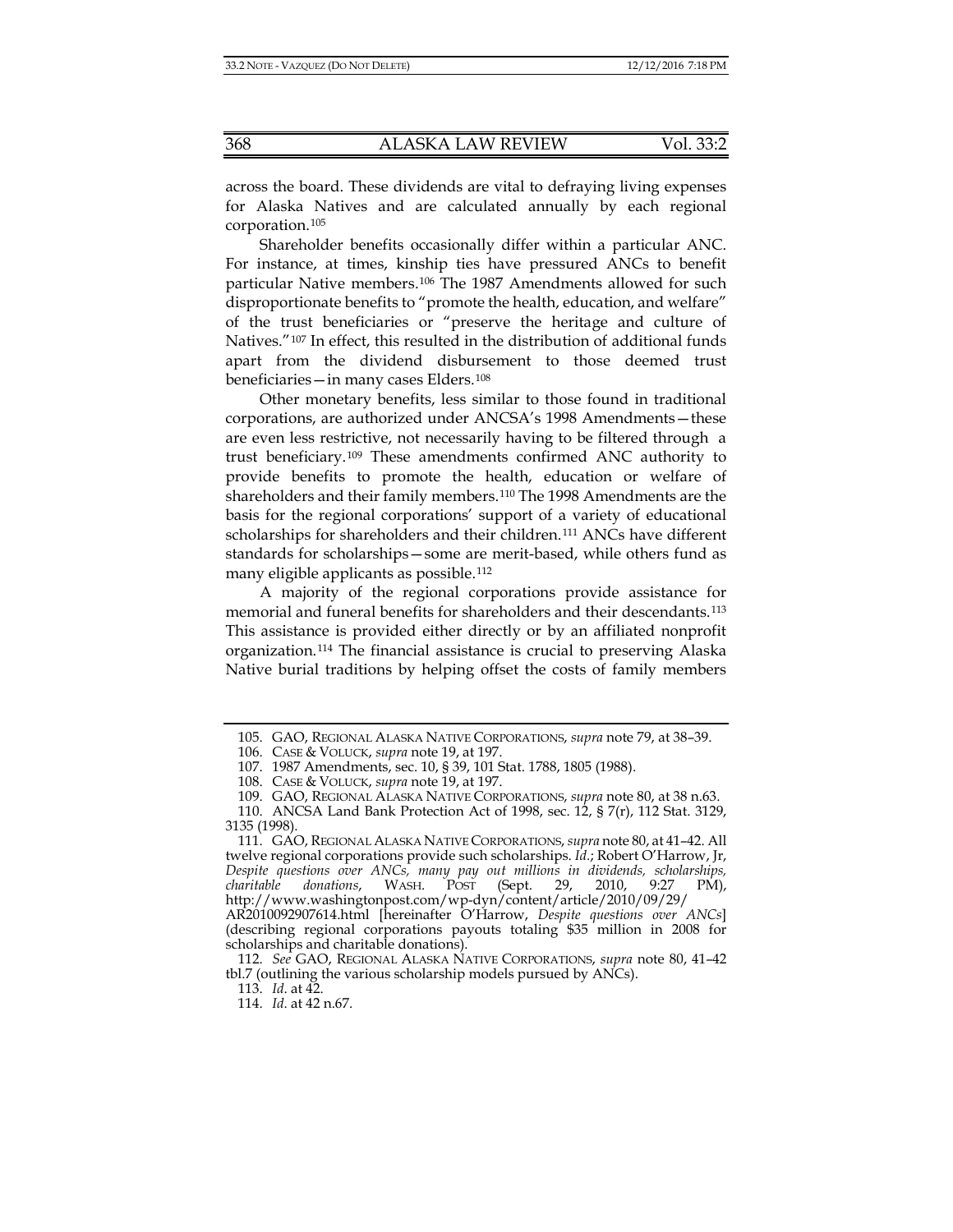across the board. These dividends are vital to defraying living expenses for Alaska Natives and are calculated annually by each regional corporation.[105](#page-15-0)

Shareholder benefits occasionally differ within a particular ANC. For instance, at times, kinship ties have pressured ANCs to benefit particular Native members.[106](#page-15-1) The 1987 Amendments allowed for such disproportionate benefits to "promote the health, education, and welfare" of the trust beneficiaries or "preserve the heritage and culture of Natives."[107](#page-15-2) In effect, this resulted in the distribution of additional funds apart from the dividend disbursement to those deemed trust beneficiaries—in many cases Elders.[108](#page-15-3)

Other monetary benefits, less similar to those found in traditional corporations, are authorized under ANCSA's 1998 Amendments—these are even less restrictive, not necessarily having to be filtered through a trust beneficiary.[109](#page-15-4) These amendments confirmed ANC authority to provide benefits to promote the health, education or welfare of shareholders and their family members.[110](#page-15-5) The 1998 Amendments are the basis for the regional corporations' support of a variety of educational scholarships for shareholders and their children.[111](#page-15-6) ANCs have different standards for scholarships—some are merit-based, while others fund as many eligible applicants as possible.[112](#page-15-7)

<span id="page-15-10"></span>A majority of the regional corporations provide assistance for memorial and funeral benefits for shareholders and their descendants.[113](#page-15-8) This assistance is provided either directly or by an affiliated nonprofit organization.[114](#page-15-9) The financial assistance is crucial to preserving Alaska Native burial traditions by helping offset the costs of family members

<sup>105.</sup> GAO, REGIONAL ALASKA NATIVE CORPORATIONS, *supra* note 79, at 38–39.

<sup>106.</sup> CASE & VOLUCK, *supra* note [19,](#page-4-9) at 197.

<sup>107.</sup> 1987 Amendments, sec. 10, § 39, 101 Stat. 1788, 1805 (1988).

<sup>108.</sup> CASE & VOLUCK, *supra* note [19,](#page-4-9) at 197.

<sup>109.</sup> GAO, REGIONAL ALASKA NATIVE CORPORATIONS, *supra* not[e 80,](#page-11-7) at 38 n.63.

<span id="page-15-5"></span><span id="page-15-4"></span><span id="page-15-3"></span><span id="page-15-2"></span><span id="page-15-1"></span><span id="page-15-0"></span><sup>110.</sup> ANCSA Land Bank Protection Act of 1998, sec. 12, § 7(r), 112 Stat. 3129, 3135 (1998).

<span id="page-15-6"></span><sup>111.</sup> GAO, REGIONAL ALASKA NATIVE CORPORATIONS, *supra* not[e 80,](#page-11-7) at 41–42. All twelve regional corporations provide such scholarships. *Id.*; Robert O'Harrow, Jr, *Despite questions over ANCs, many pay out millions in dividends, scholarships, charitable donations*, WASH. POST (Sept. 29, 2010, 9:27 PM), http://www.washingtonpost.com/wp-dyn/content/article/2010/09/29/ AR2010092907614.html [hereinafter O'Harrow, *Despite questions over ANCs*] (describing regional corporations payouts totaling \$35 million in 2008 for

<span id="page-15-9"></span><span id="page-15-8"></span><span id="page-15-7"></span>scholarships and charitable donations). 112. *See* GAO, REGIONAL ALASKA NATIVE CORPORATIONS, *supra* note [80,](#page-11-7) 41–42 tbl.7 (outlining the various scholarship models pursued by ANCs).

<sup>113.</sup> *Id*. at 42.

<sup>114.</sup> *Id*. at 42 n.67.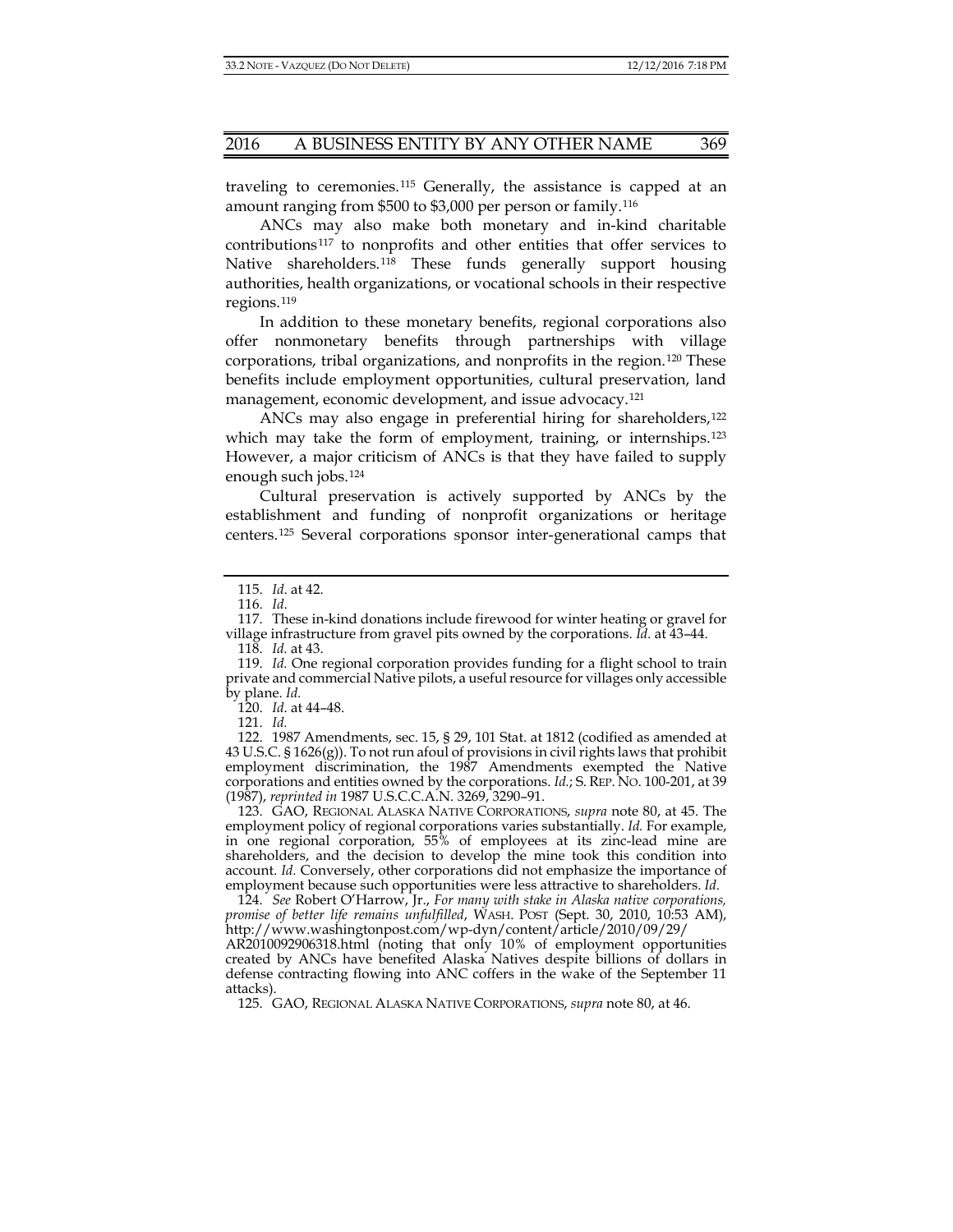traveling to ceremonies.[115](#page-16-0) Generally, the assistance is capped at an amount ranging from \$500 to \$3,000 per person or family.[116](#page-16-1)

ANCs may also make both monetary and in-kind charitable contributions[117](#page-16-2) to nonprofits and other entities that offer services to Native shareholders.[118](#page-16-3) These funds generally support housing authorities, health organizations, or vocational schools in their respective regions.[119](#page-16-4)

In addition to these monetary benefits, regional corporations also offer nonmonetary benefits through partnerships with village corporations, tribal organizations, and nonprofits in the region.[120](#page-16-5) These benefits include employment opportunities, cultural preservation, land management, economic development, and issue advocacy.<sup>[121](#page-16-6)</sup>

ANCs may also engage in preferential hiring for shareholders,<sup>[122](#page-16-7)</sup> which may take the form of employment, training, or internships.<sup>[123](#page-16-8)</sup> However, a major criticism of ANCs is that they have failed to supply enough such jobs.[124](#page-16-9)

Cultural preservation is actively supported by ANCs by the establishment and funding of nonprofit organizations or heritage centers.[125](#page-16-10) Several corporations sponsor inter-generational camps that

118. *Id.* at 43.

120. *Id*. at 44–48.

121. *Id.*

<span id="page-16-8"></span>123. GAO, REGIONAL ALASKA NATIVE CORPORATIONS, *supra* note [80,](#page-11-7) at 45. The employment policy of regional corporations varies substantially. *Id.* For example, in one regional corporation, 55% of employees at its zinc-lead mine are shareholders, and the decision to develop the mine took this condition into account. *Id.* Conversely, other corporations did not emphasize the importance of employment because such opportunities were less attractive to shareholders. *Id.*

<span id="page-16-9"></span>124. *See* Robert O'Harrow, Jr., *For many with stake in Alaska native corporations, promise of better life remains unfulfilled*, WASH. POST (Sept. 30, 2010, 10:53 AM), http://www.washingtonpost.com/wp-dyn/content/article/2010/09/29/

<span id="page-16-10"></span>AR2010092906318.html (noting that only 10% of employment opportunities created by ANCs have benefited Alaska Natives despite billions of dollars in defense contracting flowing into ANC coffers in the wake of the September 11 attacks).

125. GAO, REGIONAL ALASKA NATIVE CORPORATIONS, *supra* not[e 80,](#page-11-7) at 46.

<sup>115.</sup> *Id*. at 42.

<sup>116.</sup> *Id*.

<span id="page-16-2"></span><span id="page-16-1"></span><span id="page-16-0"></span><sup>117.</sup> These in-kind donations include firewood for winter heating or gravel for village infrastructure from gravel pits owned by the corporations. *Id.* at 43–44.

<span id="page-16-4"></span><span id="page-16-3"></span><sup>119.</sup> *Id.* One regional corporation provides funding for a flight school to train private and commercial Native pilots, a useful resource for villages only accessible by plane. *Id.*

<span id="page-16-7"></span><span id="page-16-6"></span><span id="page-16-5"></span><sup>122.</sup> 1987 Amendments, sec. 15, § 29, 101 Stat. at 1812 (codified as amended at 43 U.S.C. §  $1626(g)$ ). To not run afoul of provisions in civil rights laws that prohibit employment discrimination, the 1987 Amendments exempted the Native corporations and entities owned by the corporations. *Id.*; S. REP. NO. 100-201, at 39 (1987), *reprinted in* 1987 U.S.C.C.A.N. 3269, 3290–91.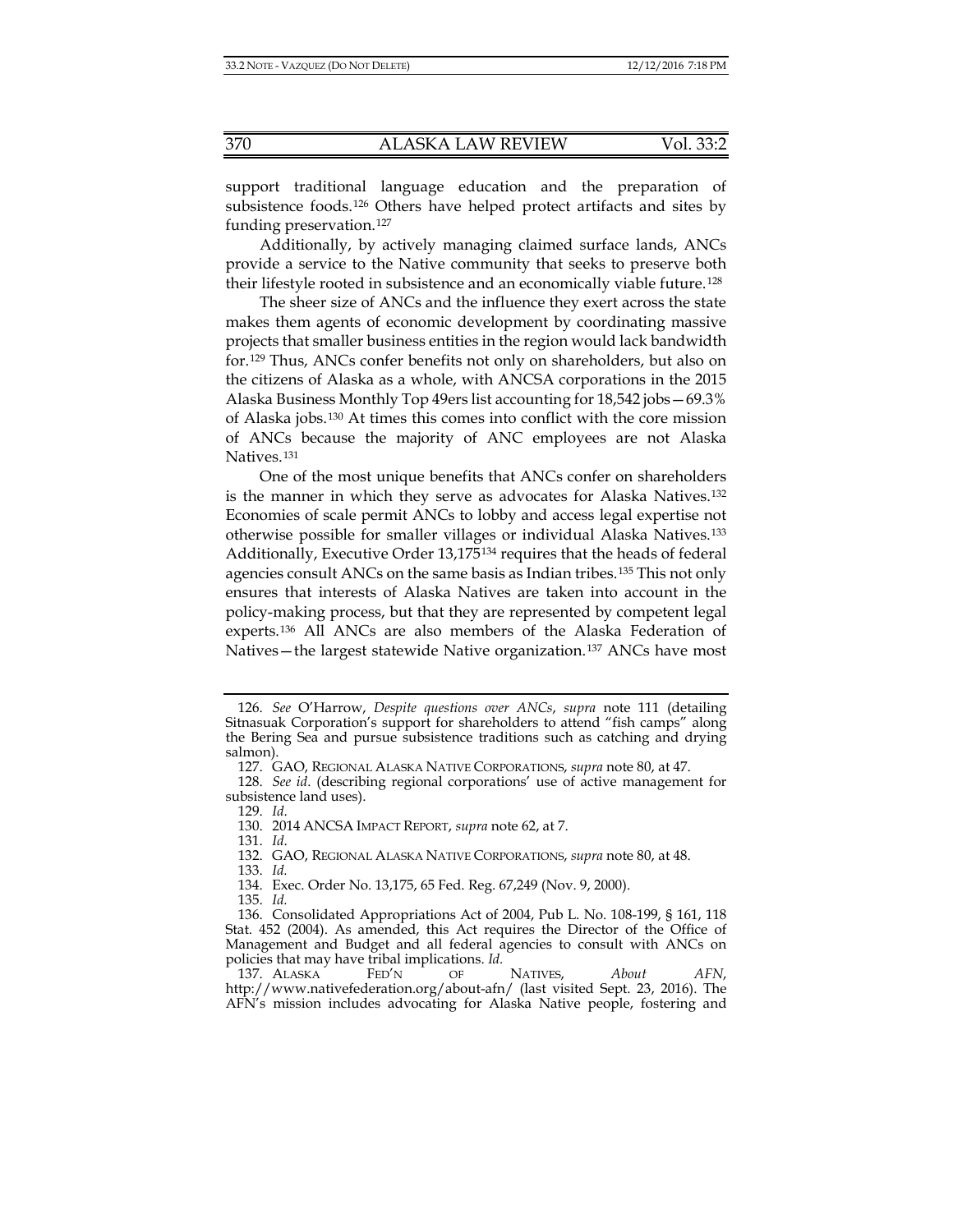support traditional language education and the preparation of subsistence foods.[126](#page-17-0) Others have helped protect artifacts and sites by funding preservation.[127](#page-17-1)

Additionally, by actively managing claimed surface lands, ANCs provide a service to the Native community that seeks to preserve both their lifestyle rooted in subsistence and an economically viable future.[128](#page-17-2)

The sheer size of ANCs and the influence they exert across the state makes them agents of economic development by coordinating massive projects that smaller business entities in the region would lack bandwidth for.[129](#page-17-3) Thus, ANCs confer benefits not only on shareholders, but also on the citizens of Alaska as a whole, with ANCSA corporations in the 2015 Alaska Business Monthly Top 49ers list accounting for 18,542 jobs—69.3% of Alaska jobs.[130](#page-17-4) At times this comes into conflict with the core mission of ANCs because the majority of ANC employees are not Alaska Natives.[131](#page-17-5)

One of the most unique benefits that ANCs confer on shareholders is the manner in which they serve as advocates for Alaska Natives.[132](#page-17-6) Economies of scale permit ANCs to lobby and access legal expertise not otherwise possible for smaller villages or individual Alaska Natives.[133](#page-17-7) Additionally, Executive Order 13,175[134](#page-17-8) requires that the heads of federal agencies consult ANCs on the same basis as Indian tribes.[135](#page-17-9) This not only ensures that interests of Alaska Natives are taken into account in the policy-making process, but that they are represented by competent legal experts.[136](#page-17-10) All ANCs are also members of the Alaska Federation of Natives—the largest statewide Native organization.[137](#page-17-11) ANCs have most

131. *Id*.

135. *Id.*

<span id="page-17-0"></span><sup>126.</sup> *See* O'Harrow, *Despite questions over ANCs*, *supra* note [111](#page-15-10) (detailing Sitnasuak Corporation's support for shareholders to attend "fish camps" along the Bering Sea and pursue subsistence traditions such as catching and drying salmon).

<sup>127.</sup> GAO, REGIONAL ALASKA NATIVE CORPORATIONS, *supra* not[e 80,](#page-11-7) at 47.

<span id="page-17-5"></span><span id="page-17-4"></span><span id="page-17-3"></span><span id="page-17-2"></span><span id="page-17-1"></span><sup>128.</sup> *See id*. (describing regional corporations' use of active management for subsistence land uses).

<sup>129.</sup> *Id*.

<sup>130.</sup> 2014 ANCSA IMPACT REPORT, *supra* not[e 62,](#page-9-6) at 7.

<sup>132.</sup> GAO, REGIONAL ALASKA NATIVE CORPORATIONS, *supra* not[e 80,](#page-11-7) at 48. 133. *Id.*

<sup>134.</sup> Exec. Order No. 13,175, 65 Fed. Reg. 67,249 (Nov. 9, 2000).

<span id="page-17-10"></span><span id="page-17-9"></span><span id="page-17-8"></span><span id="page-17-7"></span><span id="page-17-6"></span><sup>136.</sup> Consolidated Appropriations Act of 2004, Pub L. No. 108-199, § 161, 118 Stat. 452 (2004). As amended, this Act requires the Director of the Office of Management and Budget and all federal agencies to consult with ANCs on policies that may have tribal implications. *Id.*

<span id="page-17-11"></span><sup>137.</sup> ALASKA FED'N OF NATIVES, *About AFN*, http://www.nativefederation.org/about-afn/ (last visited Sept. 23, 2016). The AFN's mission includes advocating for Alaska Native people, fostering and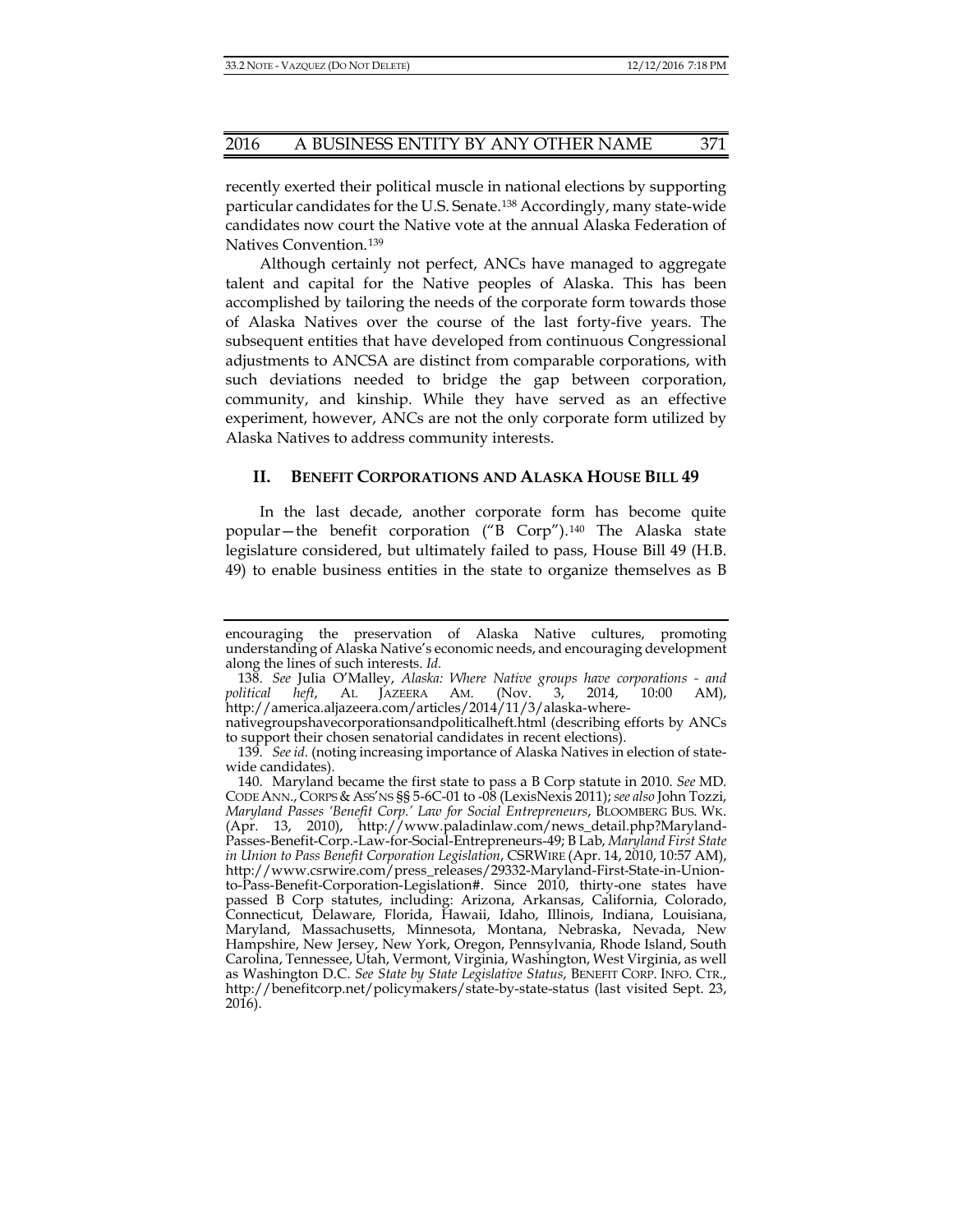recently exerted their political muscle in national elections by supporting particular candidates for the U.S. Senate.[138](#page-18-0) Accordingly, many state-wide candidates now court the Native vote at the annual Alaska Federation of Natives Convention.[139](#page-18-1)

Although certainly not perfect, ANCs have managed to aggregate talent and capital for the Native peoples of Alaska. This has been accomplished by tailoring the needs of the corporate form towards those of Alaska Natives over the course of the last forty-five years. The subsequent entities that have developed from continuous Congressional adjustments to ANCSA are distinct from comparable corporations, with such deviations needed to bridge the gap between corporation, community, and kinship. While they have served as an effective experiment, however, ANCs are not the only corporate form utilized by Alaska Natives to address community interests.

#### **II. BENEFIT CORPORATIONS AND ALASKA HOUSE BILL 49**

In the last decade, another corporate form has become quite popular—the benefit corporation ("B Corp").[140](#page-18-2) The Alaska state legislature considered, but ultimately failed to pass, House Bill 49 (H.B. 49) to enable business entities in the state to organize themselves as B

encouraging the preservation of Alaska Native cultures, promoting understanding of Alaska Native's economic needs, and encouraging development along the lines of such interests. *Id.*

<span id="page-18-0"></span><sup>138.</sup> *See* Julia O'Malley, *Alaska: Where Native groups have corporations - and political heft*, AL JAZEERA AM. (Nov. 3, 2014, 10:00 AM), http://america.aljazeera.com/articles/2014/11/3/alaska-where-

nativegroupshavecorporationsandpoliticalheft.html (describing efforts by ANCs to support their chosen senatorial candidates in recent elections).

<span id="page-18-1"></span><sup>139.</sup> *See id.* (noting increasing importance of Alaska Natives in election of statewide candidates).

<span id="page-18-2"></span><sup>140.</sup> Maryland became the first state to pass a B Corp statute in 2010. *See* MD. CODE ANN., CORPS &ASS'NS §§ 5-6C-01 to -08 (LexisNexis 2011); *see also* John Tozzi, *Maryland Passes 'Benefit Corp.' Law for Social Entrepreneurs*, BLOOMBERG BUS. WK. (Apr. 13, 2010), http://www.paladinlaw.com/news\_detail.php?Maryland-Passes-Benefit-Corp.-Law-for-Social-Entrepreneurs-49; B Lab, *Maryland First State in Union to Pass Benefit Corporation Legislation*, CSRWIRE (Apr. 14, 2010, 10:57 AM), http://www.csrwire.com/press\_releases/29332-Maryland-First-State-in-Unionto-Pass-Benefit-Corporation-Legislation#. Since 2010, thirty-one states have passed B Corp statutes, including: Arizona, Arkansas, California, Colorado, Connecticut, Delaware, Florida, Hawaii, Idaho, Illinois, Indiana, Louisiana, Maryland, Massachusetts, Minnesota, Montana, Nebraska, Nevada, New Hampshire, New Jersey, New York, Oregon, Pennsylvania, Rhode Island, South Carolina, Tennessee, Utah, Vermont, Virginia, Washington, West Virginia, as well as Washington D.C. *See State by State Legislative Status*, BENEFIT CORP. INFO. CTR., http://benefitcorp.net/policymakers/state-by-state-status (last visited Sept. 23, 2016).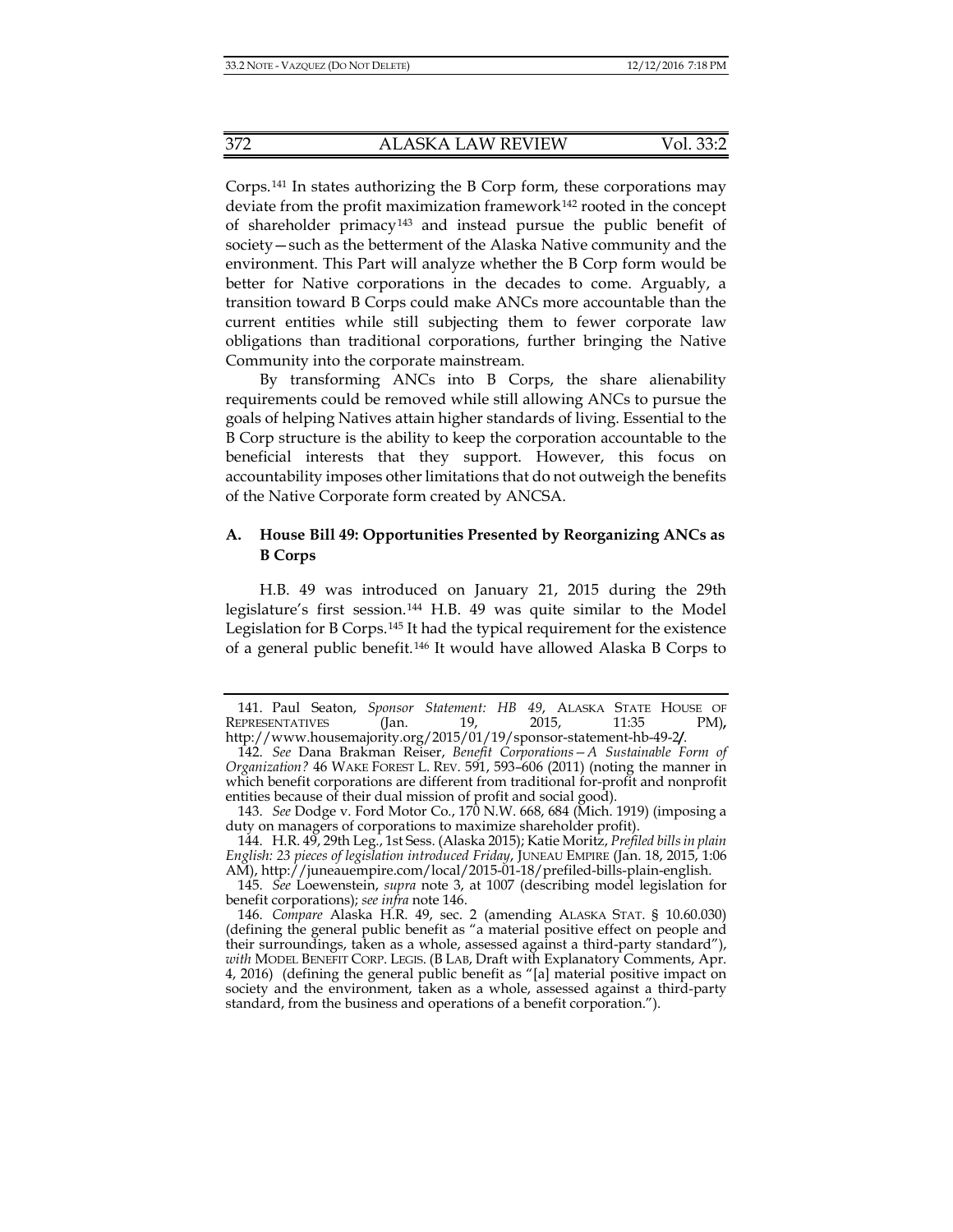Corps.[141](#page-19-1) In states authorizing the B Corp form, these corporations may deviate from the profit maximization framework<sup>[142](#page-19-2)</sup> rooted in the concept of shareholder primacy[143](#page-19-3) and instead pursue the public benefit of society—such as the betterment of the Alaska Native community and the environment. This Part will analyze whether the B Corp form would be better for Native corporations in the decades to come. Arguably, a transition toward B Corps could make ANCs more accountable than the current entities while still subjecting them to fewer corporate law obligations than traditional corporations, further bringing the Native Community into the corporate mainstream.

By transforming ANCs into B Corps, the share alienability requirements could be removed while still allowing ANCs to pursue the goals of helping Natives attain higher standards of living. Essential to the B Corp structure is the ability to keep the corporation accountable to the beneficial interests that they support. However, this focus on accountability imposes other limitations that do not outweigh the benefits of the Native Corporate form created by ANCSA.

# **A. House Bill 49: Opportunities Presented by Reorganizing ANCs as B Corps**

<span id="page-19-0"></span>H.B. 49 was introduced on January 21, 2015 during the 29th legislature's first session.[144](#page-19-4) H.B. 49 was quite similar to the Model Legislation for B Corps.[145](#page-19-5) It had the typical requirement for the existence of a general public benefit.[146](#page-19-6) It would have allowed Alaska B Corps to

<span id="page-19-1"></span><sup>141.</sup> Paul Seaton, *Sponsor Statement: HB 49*, ALASKA STATE HOUSE OF REPRESENTATIVES (Jan. 19, 2015, 11:35 PM)**,**  http://www.housemajority.org/2015/01/19/sponsor-statement-hb-49-2**/**.

<span id="page-19-2"></span><sup>142.</sup> *See* Dana Brakman Reiser, *Benefit Corporations—A Sustainable Form of Organization?* 46 WAKE FOREST L. REV. 591, 593–606 (2011) (noting the manner in which benefit corporations are different from traditional for-profit and nonprofit entities because of their dual mission of profit and social good).

<span id="page-19-3"></span><sup>143.</sup> *See* Dodge v. Ford Motor Co*.*, 170 N.W. 668, 684 (Mich. 1919) (imposing a duty on managers of corporations to maximize shareholder profit).

<span id="page-19-4"></span><sup>144.</sup> H.R. 49, 29th Leg., 1st Sess. (Alaska 2015); Katie Moritz, *Prefiled bills in plain English: 23 pieces of legislation introduced Friday*, JUNEAU EMPIRE (Jan. 18, 2015, 1:06 AM), http://juneauempire.com/local/2015-01-18/prefiled-bills-plain-english.

<span id="page-19-5"></span><sup>145.</sup> *See* Loewenstein, *supra* note 3, at 1007 (describing model legislation for benefit corporations); *see infra* not[e 146.](#page-19-0)

<span id="page-19-6"></span><sup>146.</sup> *Compare* Alaska H.R. 49, sec. 2 (amending ALASKA STAT. § 10.60.030) (defining the general public benefit as "a material positive effect on people and their surroundings, taken as a whole, assessed against a third-party standard"), *with* MODEL BENEFIT CORP. LEGIS. (B LAB, Draft with Explanatory Comments, Apr. 4, 2016) (defining the general public benefit as "[a] material positive impact on society and the environment, taken as a whole, assessed against a third-party standard, from the business and operations of a benefit corporation.").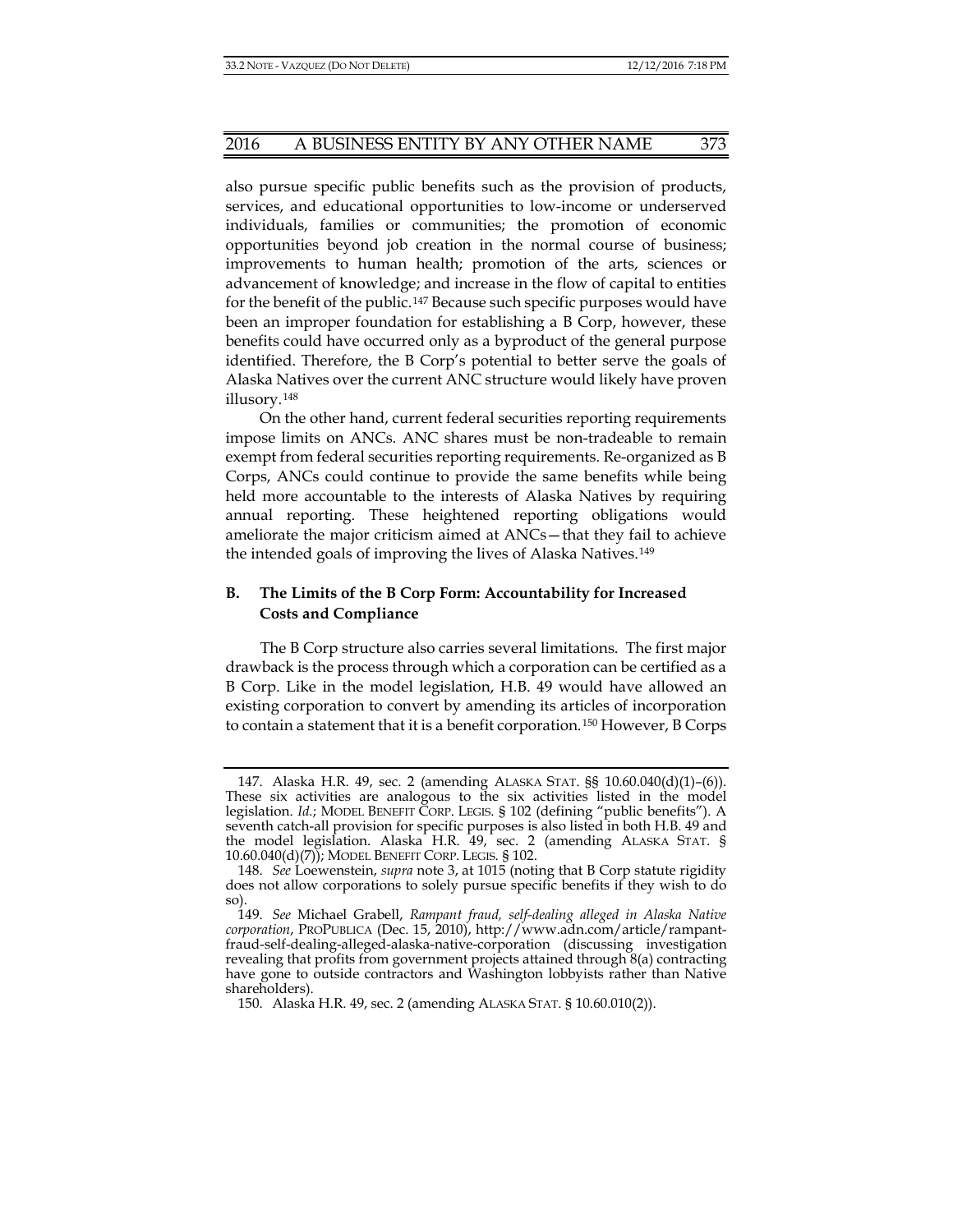also pursue specific public benefits such as the provision of products, services, and educational opportunities to low-income or underserved individuals, families or communities; the promotion of economic opportunities beyond job creation in the normal course of business; improvements to human health; promotion of the arts, sciences or advancement of knowledge; and increase in the flow of capital to entities for the benefit of the public.[147](#page-20-0) Because such specific purposes would have been an improper foundation for establishing a B Corp, however, these benefits could have occurred only as a byproduct of the general purpose identified. Therefore, the B Corp's potential to better serve the goals of Alaska Natives over the current ANC structure would likely have proven illusory.[148](#page-20-1)

On the other hand, current federal securities reporting requirements impose limits on ANCs. ANC shares must be non-tradeable to remain exempt from federal securities reporting requirements. Re-organized as B Corps, ANCs could continue to provide the same benefits while being held more accountable to the interests of Alaska Natives by requiring annual reporting. These heightened reporting obligations would ameliorate the major criticism aimed at ANCs—that they fail to achieve the intended goals of improving the lives of Alaska Natives.[149](#page-20-2)

# **B. The Limits of the B Corp Form: Accountability for Increased Costs and Compliance**

The B Corp structure also carries several limitations. The first major drawback is the process through which a corporation can be certified as a B Corp. Like in the model legislation, H.B. 49 would have allowed an existing corporation to convert by amending its articles of incorporation to contain a statement that it is a benefit corporation.[150](#page-20-3) However, B Corps

<span id="page-20-0"></span><sup>147.</sup> Alaska H.R. 49, sec. 2 (amending ALASKA STAT. §§ 10.60.040(d)(1)–(6)). These six activities are analogous to the six activities listed in the model legislation. *Id.*; MODEL BENEFIT CORP. LEGIS. § 102 (defining "public benefits"). A seventh catch-all provision for specific purposes is also listed in both H.B. 49 and the model legislation. Alaska H.R. 49, sec. 2 (amending ALASKA STAT. § 10.60.040(d)(7)); MODEL BENEFIT CORP. LEGIS. § 102.

<span id="page-20-1"></span><sup>148.</sup> *See* Loewenstein, *supra* note 3, at 1015 (noting that B Corp statute rigidity does not allow corporations to solely pursue specific benefits if they wish to do so).

<span id="page-20-2"></span><sup>149.</sup> *See* Michael Grabell, *Rampant fraud, self-dealing alleged in Alaska Native corporation*, PROPUBLICA (Dec. 15, 2010), http://www.adn.com/article/rampantfraud-self-dealing-alleged-alaska-native-corporation (discussing investigation revealing that profits from government projects attained through 8(a) contracting have gone to outside contractors and Washington lobbyists rather than Native shareholders).

<span id="page-20-3"></span><sup>150.</sup> Alaska H.R. 49, sec. 2 (amending ALASKA STAT. § 10.60.010(2)).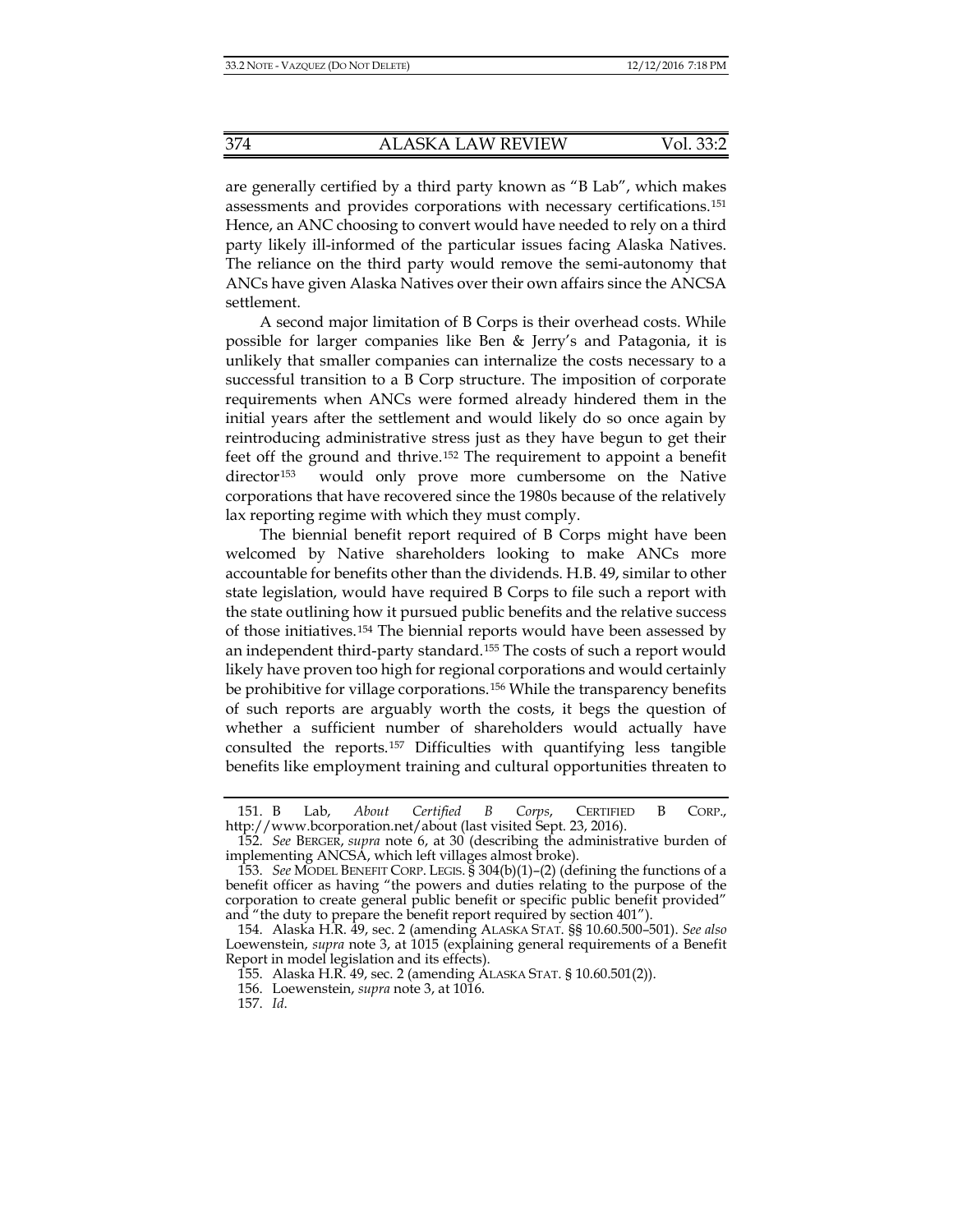are generally certified by a third party known as "B Lab", which makes assessments and provides corporations with necessary certifications.[151](#page-21-0) Hence, an ANC choosing to convert would have needed to rely on a third party likely ill-informed of the particular issues facing Alaska Natives. The reliance on the third party would remove the semi-autonomy that ANCs have given Alaska Natives over their own affairs since the ANCSA settlement.

A second major limitation of B Corps is their overhead costs. While possible for larger companies like Ben & Jerry's and Patagonia, it is unlikely that smaller companies can internalize the costs necessary to a successful transition to a B Corp structure. The imposition of corporate requirements when ANCs were formed already hindered them in the initial years after the settlement and would likely do so once again by reintroducing administrative stress just as they have begun to get their feet off the ground and thrive.[152](#page-21-1) The requirement to appoint a benefit director<sup>[153](#page-21-2)</sup> would only prove more cumbersome on the Native corporations that have recovered since the 1980s because of the relatively lax reporting regime with which they must comply.

The biennial benefit report required of B Corps might have been welcomed by Native shareholders looking to make ANCs more accountable for benefits other than the dividends. H.B. 49, similar to other state legislation, would have required B Corps to file such a report with the state outlining how it pursued public benefits and the relative success of those initiatives.[154](#page-21-3) The biennial reports would have been assessed by an independent third-party standard.[155](#page-21-4) The costs of such a report would likely have proven too high for regional corporations and would certainly be prohibitive for village corporations.[156](#page-21-5) While the transparency benefits of such reports are arguably worth the costs, it begs the question of whether a sufficient number of shareholders would actually have consulted the reports.[157](#page-21-6) Difficulties with quantifying less tangible benefits like employment training and cultural opportunities threaten to

157. *Id*.

<span id="page-21-0"></span><sup>151.</sup> B Lab, *About Certified B Corps*, CERTIFIED B CORP., http://www.bcorporation.net/about (last visited Sept. 23, 2016).

<span id="page-21-1"></span><sup>152.</sup> *See* BERGER, *supra* note [6,](#page-2-4) at 30 (describing the administrative burden of implementing ANCSA, which left villages almost broke).

<span id="page-21-2"></span><sup>153.</sup> *See* MODEL BENEFIT CORP. LEGIS. § 304(b)(1)–(2) (defining the functions of a benefit officer as having "the powers and duties relating to the purpose of the corporation to create general public benefit or specific public benefit provided" and "the duty to prepare the benefit report required by section 401").

<span id="page-21-5"></span><span id="page-21-4"></span><span id="page-21-3"></span><sup>154.</sup> Alaska H.R. 49, sec. 2 (amending ALASKA STAT. §§ 10.60.500–501). *See also* Loewenstein, *supra* note [3,](#page-1-5) at 1015 (explaining general requirements of a Benefit Report in model legislation and its effects).

<sup>155.</sup> Alaska H.R. 49, sec. 2 (amending ALASKA STAT. § 10.60.501(2)).

<span id="page-21-6"></span><sup>156.</sup> Loewenstein, *supra* not[e 3,](#page-1-5) at 1016.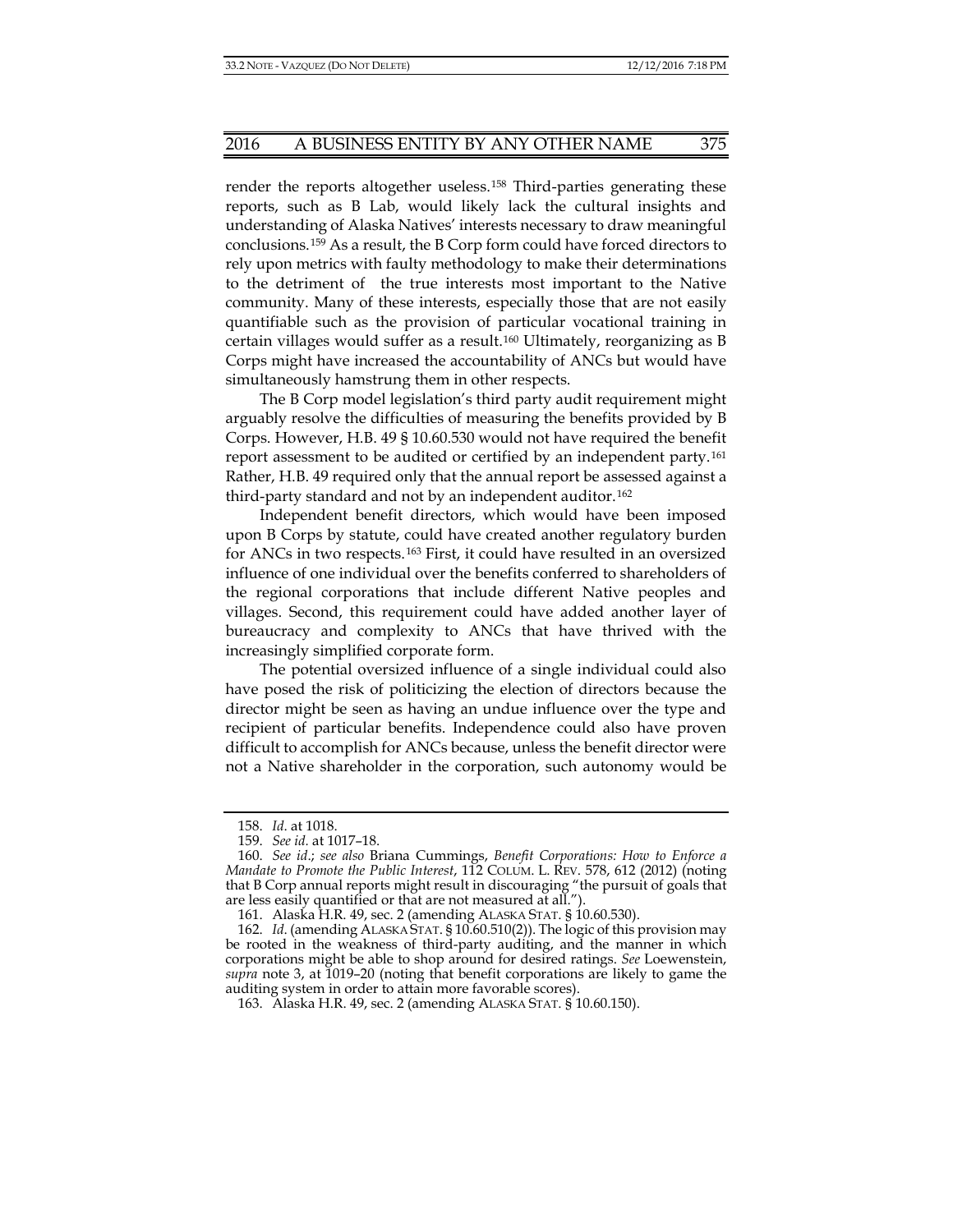render the reports altogether useless.[158](#page-22-0) Third-parties generating these reports, such as B Lab, would likely lack the cultural insights and understanding of Alaska Natives' interests necessary to draw meaningful conclusions.[159](#page-22-1) As a result, the B Corp form could have forced directors to rely upon metrics with faulty methodology to make their determinations to the detriment of the true interests most important to the Native community. Many of these interests, especially those that are not easily quantifiable such as the provision of particular vocational training in certain villages would suffer as a result.[160](#page-22-2) Ultimately, reorganizing as B Corps might have increased the accountability of ANCs but would have simultaneously hamstrung them in other respects.

The B Corp model legislation's third party audit requirement might arguably resolve the difficulties of measuring the benefits provided by B Corps. However, H.B. 49 § 10.60.530 would not have required the benefit report assessment to be audited or certified by an independent party.[161](#page-22-3) Rather, H.B. 49 required only that the annual report be assessed against a third-party standard and not by an independent auditor.<sup>[162](#page-22-4)</sup>

Independent benefit directors, which would have been imposed upon B Corps by statute, could have created another regulatory burden for ANCs in two respects.[163](#page-22-5) First, it could have resulted in an oversized influence of one individual over the benefits conferred to shareholders of the regional corporations that include different Native peoples and villages. Second, this requirement could have added another layer of bureaucracy and complexity to ANCs that have thrived with the increasingly simplified corporate form.

The potential oversized influence of a single individual could also have posed the risk of politicizing the election of directors because the director might be seen as having an undue influence over the type and recipient of particular benefits. Independence could also have proven difficult to accomplish for ANCs because, unless the benefit director were not a Native shareholder in the corporation, such autonomy would be

163. Alaska H.R. 49, sec. 2 (amending ALASKA STAT. § 10.60.150).

<sup>158.</sup> *Id*. at 1018.

<sup>159.</sup> *See id.* at 1017–18.

<span id="page-22-2"></span><span id="page-22-1"></span><span id="page-22-0"></span><sup>160.</sup> *See id*.; *see also* Briana Cummings, *Benefit Corporations: How to Enforce a Mandate to Promote the Public Interest*, 112 COLUM. L. REV. 578, 612 (2012) (noting that B Corp annual reports might result in discouraging "the pursuit of goals that are less easily quantified or that are not measured at all.").

<sup>161.</sup> Alaska H.R. 49, sec. 2 (amending ALASKA STAT. § 10.60.530).

<span id="page-22-5"></span><span id="page-22-4"></span><span id="page-22-3"></span><sup>162.</sup> *Id*. (amending ALASKA STAT. § 10.60.510(2)). The logic of this provision may be rooted in the weakness of third-party auditing, and the manner in which corporations might be able to shop around for desired ratings. *See* Loewenstein, *supra* note [3,](#page-1-5) at 1019–20 (noting that benefit corporations are likely to game the auditing system in order to attain more favorable scores).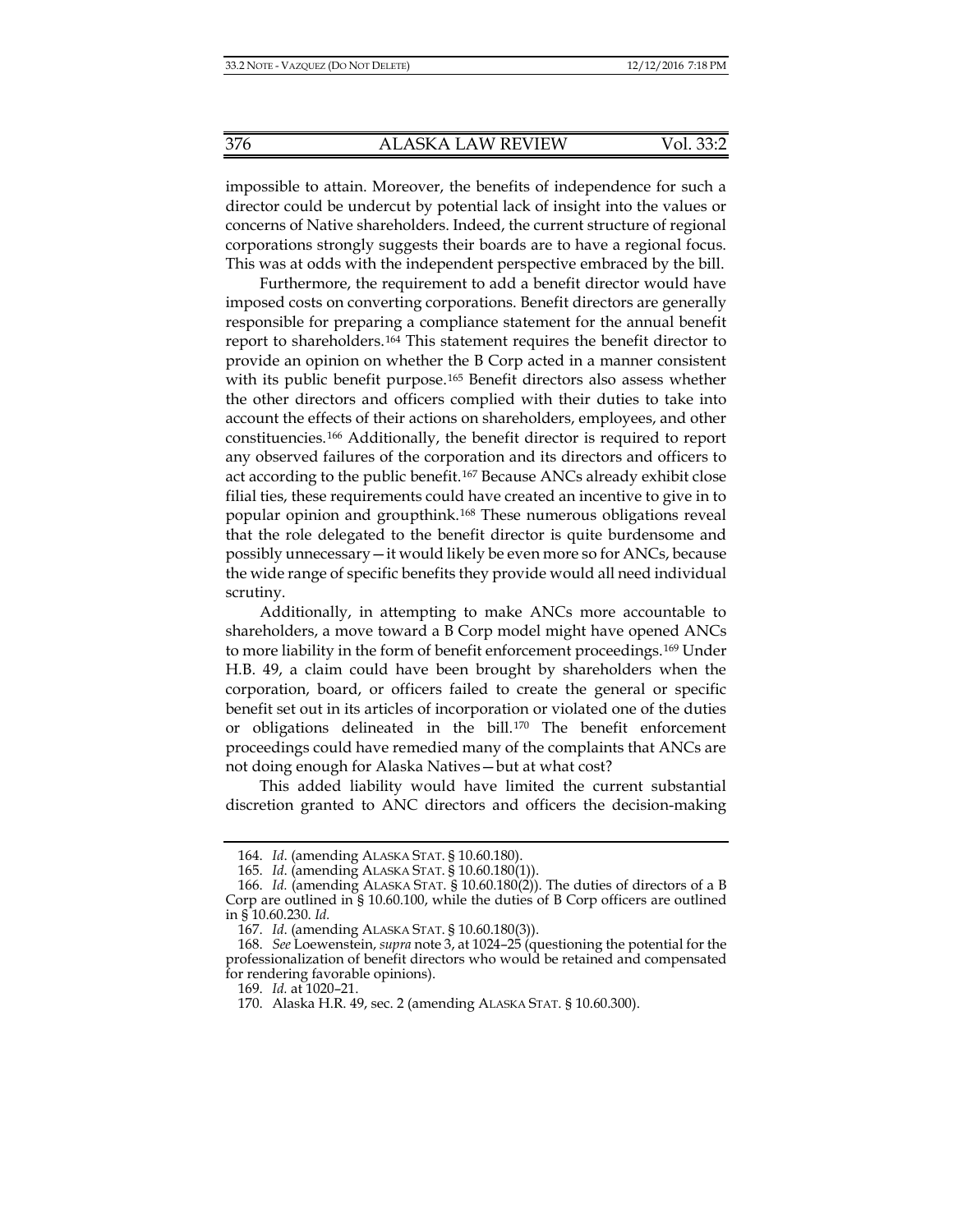impossible to attain. Moreover, the benefits of independence for such a director could be undercut by potential lack of insight into the values or concerns of Native shareholders. Indeed, the current structure of regional corporations strongly suggests their boards are to have a regional focus. This was at odds with the independent perspective embraced by the bill.

Furthermore, the requirement to add a benefit director would have imposed costs on converting corporations. Benefit directors are generally responsible for preparing a compliance statement for the annual benefit report to shareholders.[164](#page-23-0) This statement requires the benefit director to provide an opinion on whether the B Corp acted in a manner consistent with its public benefit purpose.<sup>[165](#page-23-1)</sup> Benefit directors also assess whether the other directors and officers complied with their duties to take into account the effects of their actions on shareholders, employees, and other constituencies.[166](#page-23-2) Additionally, the benefit director is required to report any observed failures of the corporation and its directors and officers to act according to the public benefit.[167](#page-23-3) Because ANCs already exhibit close filial ties, these requirements could have created an incentive to give in to popular opinion and groupthink.[168](#page-23-4) These numerous obligations reveal that the role delegated to the benefit director is quite burdensome and possibly unnecessary—it would likely be even more so for ANCs, because the wide range of specific benefits they provide would all need individual scrutiny.

Additionally, in attempting to make ANCs more accountable to shareholders, a move toward a B Corp model might have opened ANCs to more liability in the form of benefit enforcement proceedings.[169](#page-23-5) Under H.B. 49, a claim could have been brought by shareholders when the corporation, board, or officers failed to create the general or specific benefit set out in its articles of incorporation or violated one of the duties or obligations delineated in the bill.[170](#page-23-6) The benefit enforcement proceedings could have remedied many of the complaints that ANCs are not doing enough for Alaska Natives—but at what cost?

This added liability would have limited the current substantial discretion granted to ANC directors and officers the decision-making

<sup>164.</sup> *Id*. (amending ALASKA STAT. § 10.60.180).

<sup>165.</sup> *Id*. (amending ALASKA STAT. § 10.60.180(1)).

<span id="page-23-2"></span><span id="page-23-1"></span><span id="page-23-0"></span><sup>166.</sup> *Id.* (amending ALASKA STAT. § 10.60.180(2)). The duties of directors of a B Corp are outlined in § 10.60.100, while the duties of B Corp officers are outlined in § 10.60.230. *Id.*

<sup>167.</sup> *Id*. (amending ALASKA STAT. § 10.60.180(3)).

<span id="page-23-6"></span><span id="page-23-5"></span><span id="page-23-4"></span><span id="page-23-3"></span><sup>168.</sup> *See* Loewenstein, *supra* not[e 3,](#page-1-5) at 1024–25 (questioning the potential for the professionalization of benefit directors who would be retained and compensated for rendering favorable opinions).

<sup>169.</sup> *Id.* at 1020–21.

<sup>170.</sup> Alaska H.R. 49, sec. 2 (amending ALASKA STAT. § 10.60.300).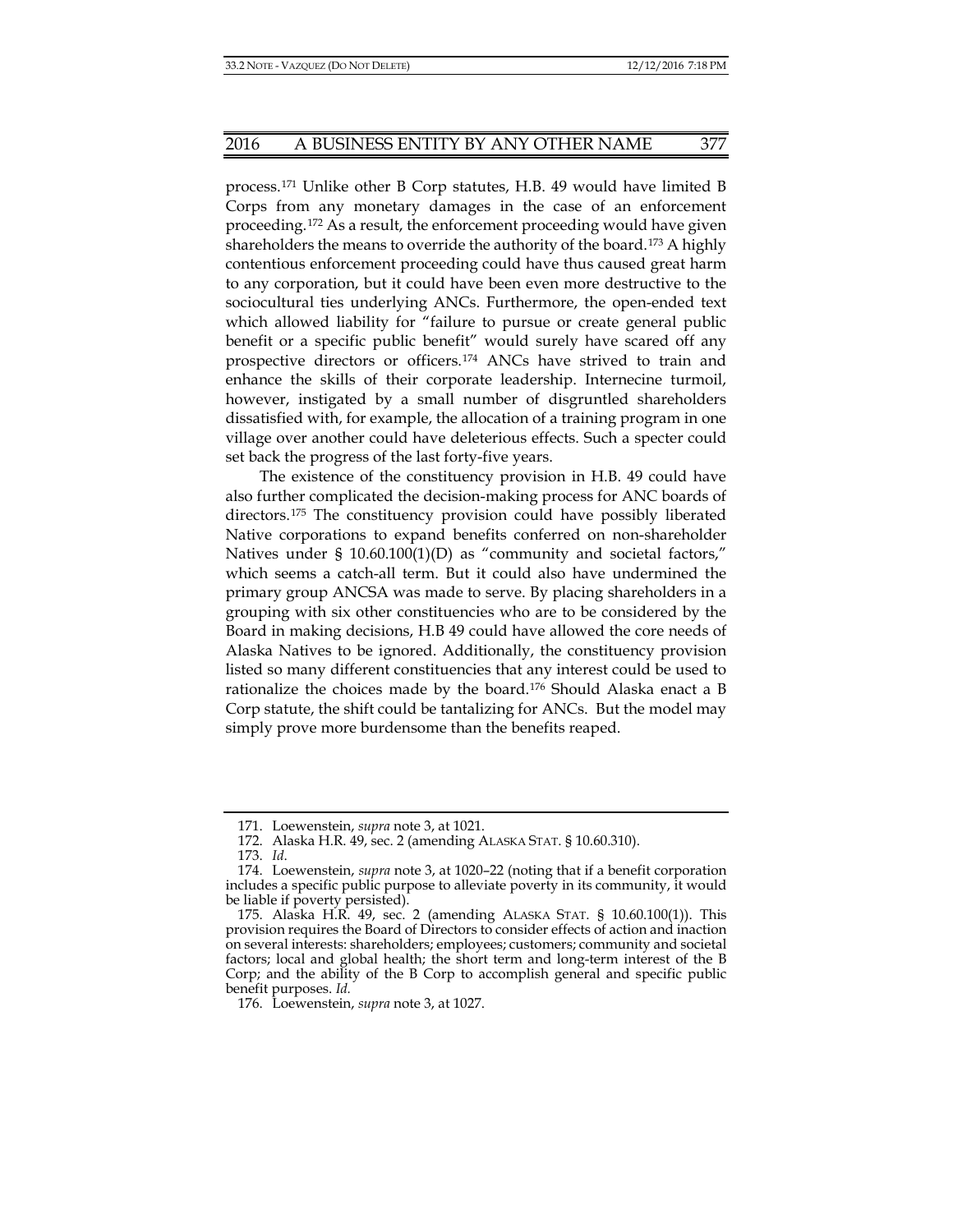process.[171](#page-24-0) Unlike other B Corp statutes, H.B. 49 would have limited B Corps from any monetary damages in the case of an enforcement proceeding.[172](#page-24-1) As a result, the enforcement proceeding would have given shareholders the means to override the authority of the board.[173](#page-24-2) A highly contentious enforcement proceeding could have thus caused great harm to any corporation, but it could have been even more destructive to the sociocultural ties underlying ANCs. Furthermore, the open-ended text which allowed liability for "failure to pursue or create general public benefit or a specific public benefit" would surely have scared off any prospective directors or officers.[174](#page-24-3) ANCs have strived to train and enhance the skills of their corporate leadership. Internecine turmoil, however, instigated by a small number of disgruntled shareholders dissatisfied with, for example, the allocation of a training program in one village over another could have deleterious effects. Such a specter could set back the progress of the last forty-five years.

The existence of the constituency provision in H.B. 49 could have also further complicated the decision-making process for ANC boards of directors.[175](#page-24-4) The constituency provision could have possibly liberated Native corporations to expand benefits conferred on non-shareholder Natives under § 10.60.100(1)(D) as "community and societal factors," which seems a catch-all term. But it could also have undermined the primary group ANCSA was made to serve. By placing shareholders in a grouping with six other constituencies who are to be considered by the Board in making decisions, H.B 49 could have allowed the core needs of Alaska Natives to be ignored. Additionally, the constituency provision listed so many different constituencies that any interest could be used to rationalize the choices made by the board.[176](#page-24-5) Should Alaska enact a B Corp statute, the shift could be tantalizing for ANCs. But the model may simply prove more burdensome than the benefits reaped.

<sup>171.</sup> Loewenstein, *supra* not[e 3,](#page-1-5) at 1021.

<sup>172.</sup> Alaska H.R. 49, sec. 2 (amending ALASKA STAT. § 10.60.310).

<sup>173.</sup> *Id*.

<span id="page-24-3"></span><span id="page-24-2"></span><span id="page-24-1"></span><span id="page-24-0"></span><sup>174.</sup> Loewenstein, *supra* note [3,](#page-1-5) at 1020–22 (noting that if a benefit corporation includes a specific public purpose to alleviate poverty in its community, it would be liable if poverty persisted).

<span id="page-24-4"></span><sup>175.</sup> Alaska H.R. 49, sec. 2 (amending ALASKA STAT. § 10.60.100(1)). This provision requires the Board of Directors to consider effects of action and inaction on several interests: shareholders; employees; customers; community and societal factors; local and global health; the short term and long-term interest of the B Corp; and the ability of the B Corp to accomplish general and specific public benefit purposes. *Id.*

<span id="page-24-5"></span><sup>176.</sup> Loewenstein, *supra* note 3, at 1027.